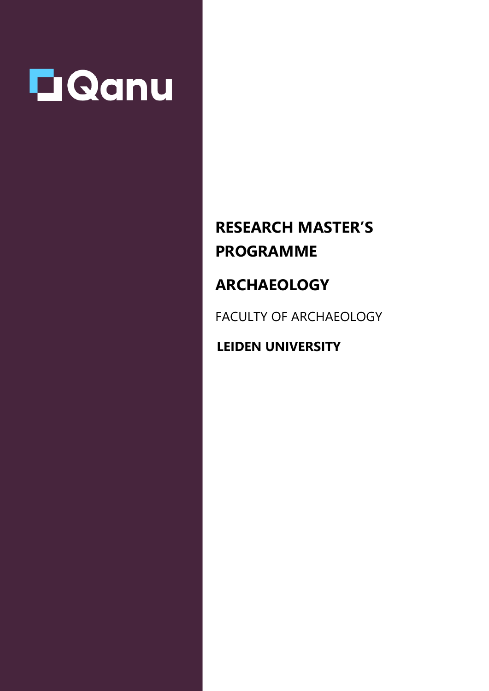

# **RESEARCH MASTER'S PROGRAMME**

# **ARCHAEOLOGY**

FACULTY OF ARCHAEOLOGY

**LEIDEN UNIVERSITY**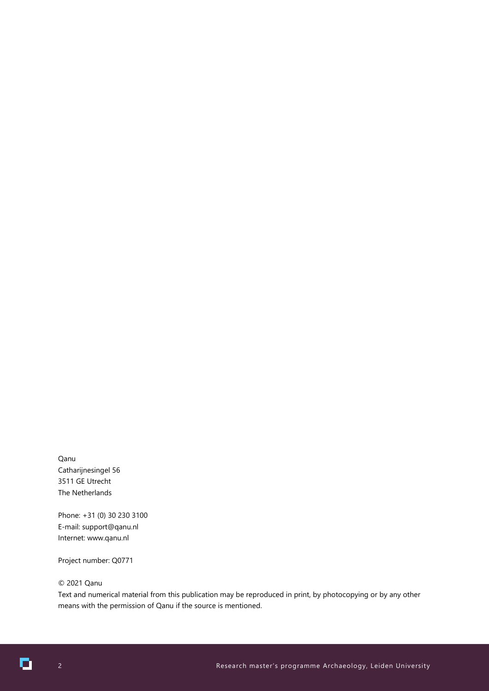Qanu Catharijnesingel 56 3511 GE Utrecht The Netherlands

Phone: +31 (0) 30 230 3100 E-mail: support@qanu.nl Internet: www.qanu.nl

Project number: Q0771

### © 2021 Qanu

Text and numerical material from this publication may be reproduced in print, by photocopying or by any other means with the permission of Qanu if the source is mentioned.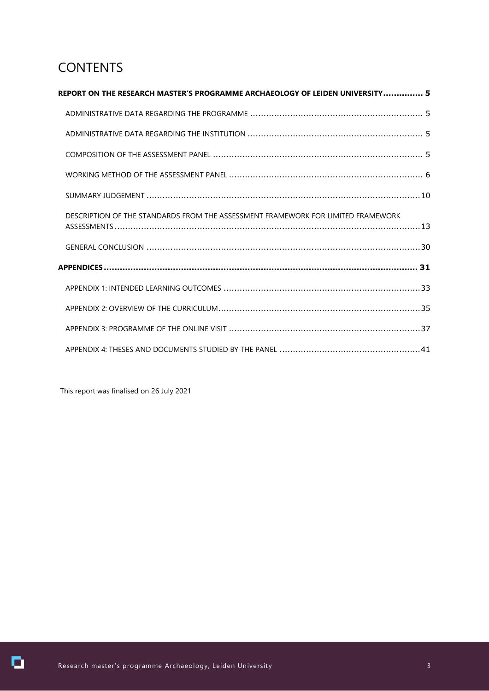# **CONTENTS**

| REPORT ON THE RESEARCH MASTER'S PROGRAMME ARCHAEOLOGY OF LEIDEN UNIVERSITY 5     |
|----------------------------------------------------------------------------------|
|                                                                                  |
|                                                                                  |
|                                                                                  |
|                                                                                  |
|                                                                                  |
| DESCRIPTION OF THE STANDARDS FROM THE ASSESSMENT FRAMEWORK FOR LIMITED FRAMEWORK |
|                                                                                  |
|                                                                                  |
|                                                                                  |
|                                                                                  |
|                                                                                  |
|                                                                                  |

This report was finalised on 26 July 2021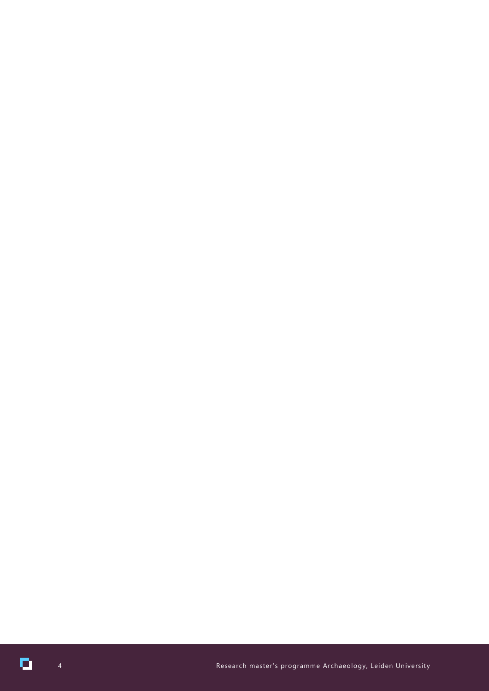<span id="page-3-0"></span>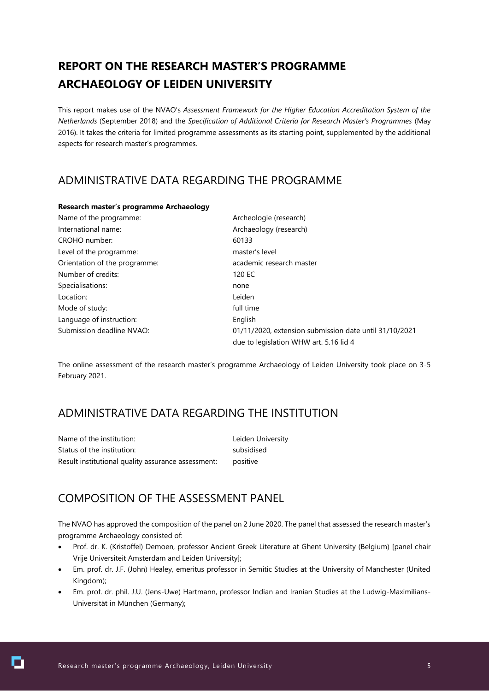# **REPORT ON THE RESEARCH MASTER'S PROGRAMME ARCHAEOLOGY OF LEIDEN UNIVERSITY**

This report makes use of the NVAO's *Assessment Framework for the Higher Education Accreditation System of the Netherlands* (September 2018) and the *Specification of Additional Criteria for Research Master's Programmes* (May 2016). It takes the criteria for limited programme assessments as its starting point, supplemented by the additional aspects for research master's programmes.

# <span id="page-4-0"></span>ADMINISTRATIVE DATA REGARDING THE PROGRAMME

## **Research master's programme Archaeology**

| Name of the programme:        | Archeologie (research)                                 |
|-------------------------------|--------------------------------------------------------|
| International name:           | Archaeology (research)                                 |
| CROHO number:                 | 60133                                                  |
| Level of the programme:       | master's level                                         |
| Orientation of the programme: | academic research master                               |
| Number of credits:            | 120 EC                                                 |
| Specialisations:              | none                                                   |
| Location:                     | Leiden                                                 |
| Mode of study:                | full time                                              |
| Language of instruction:      | English                                                |
| Submission deadline NVAO:     | 01/11/2020, extension submission date until 31/10/2021 |
|                               | due to legislation WHW art, 5.16 lid 4                 |

The online assessment of the research master's programme Archaeology of Leiden University took place on 3-5 February 2021.

# <span id="page-4-1"></span>ADMINISTRATIVE DATA REGARDING THE INSTITUTION

Name of the institution: Name of the institution: Status of the institution: subsidised Result institutional quality assurance assessment: positive

# <span id="page-4-2"></span>COMPOSITION OF THE ASSESSMENT PANEL

The NVAO has approved the composition of the panel on 2 June 2020. The panel that assessed the research master's programme Archaeology consisted of:

- Prof. dr. K. (Kristoffel) Demoen, professor Ancient Greek Literature at Ghent University (Belgium) [panel chair Vrije Universiteit Amsterdam and Leiden University];
- Em. prof. dr. J.F. (John) Healey, emeritus professor in Semitic Studies at the University of Manchester (United Kingdom);
- Em. prof. dr. phil. J.U. (Jens-Uwe) Hartmann, professor Indian and Iranian Studies at the Ludwig-Maximilians-Universität in München (Germany);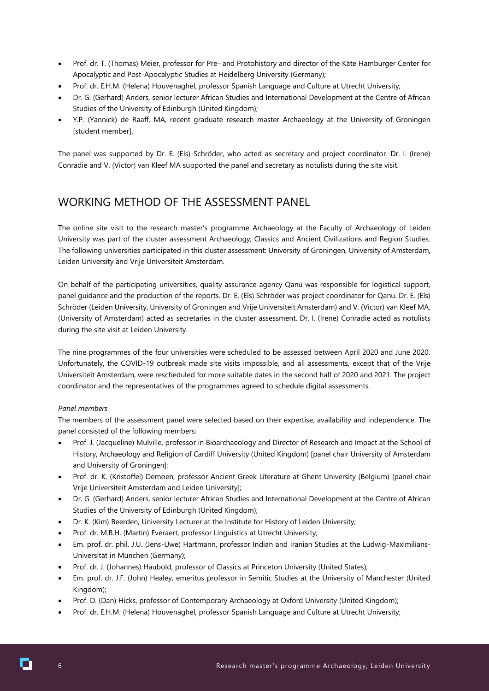- Prof. dr. T. (Thomas) Meier, professor for Pre- and Protohistory and director of the Käte Hamburger Center for Apocalyptic and Post-Apocalyptic Studies at Heidelberg University (Germany);
- Prof. dr. E.H.M. (Helena) Houvenaghel, professor Spanish Language and Culture at Utrecht University;
- Dr. G. (Gerhard) Anders, senior lecturer African Studies and International Development at the Centre of African Studies of the University of Edinburgh (United Kingdom);
- Y.P. (Yannick) de Raaff, MA, recent graduate research master Archaeology at the University of Groningen [student member].

The panel was supported by Dr. E. (Els) Schröder, who acted as secretary and project coordinator. Dr. I. (Irene) Conradie and V. (Victor) van Kleef MA supported the panel and secretary as notulists during the site visit.

# <span id="page-5-0"></span>WORKING METHOD OF THE ASSESSMENT PANEL

The online site visit to the research master's programme Archaeology at the Faculty of Archaeology of Leiden University was part of the cluster assessment Archaeology, Classics and Ancient Civilizations and Region Studies. The following universities participated in this cluster assessment: University of Groningen, University of Amsterdam, Leiden University and Vrije Universiteit Amsterdam.

On behalf of the participating universities, quality assurance agency Qanu was responsible for logistical support, panel guidance and the production of the reports. Dr. E. (Els) Schröder was project coordinator for Qanu. Dr. E. (Els) Schröder (Leiden University, University of Groningen and Vrije Universiteit Amsterdam) and V. (Victor) van Kleef MA, (University of Amsterdam) acted as secretaries in the cluster assessment. Dr. I. (Irene) Conradie acted as notulists during the site visit at Leiden University.

The nine programmes of the four universities were scheduled to be assessed between April 2020 and June 2020. Unfortunately, the COVID-19 outbreak made site visits impossible, and all assessments, except that of the Vrije Universiteit Amsterdam, were rescheduled for more suitable dates in the second half of 2020 and 2021. The project coordinator and the representatives of the programmes agreed to schedule digital assessments.

## *Panel members*

The members of the assessment panel were selected based on their expertise, availability and independence. The panel consisted of the following members:

- Prof. J. (Jacqueline) Mulville, professor in Bioarchaeology and Director of Research and Impact at the School of History, Archaeology and Religion of Cardiff University (United Kingdom) [panel chair University of Amsterdam and University of Groningen];
- Prof. dr. K. (Kristoffel) Demoen, professor Ancient Greek Literature at Ghent University (Belgium) [panel chair Vrije Universiteit Amsterdam and Leiden University];
- Dr. G. (Gerhard) Anders, senior lecturer African Studies and International Development at the Centre of African Studies of the University of Edinburgh (United Kingdom);
- Dr. K. (Kim) Beerden, University Lecturer at the Institute for History of Leiden University;
- Prof. dr. M.B.H. (Martin) Everaert, professor Linguistics at Utrecht University;
- Em. prof. dr. phil. J.U. (Jens-Uwe) Hartmann, professor Indian and Iranian Studies at the Ludwig-Maximilians-Universität in München (Germany);
- Prof. dr. J. (Johannes) Haubold, professor of Classics at Princeton University (United States);
- Em. prof. dr. J.F. (John) Healey, emeritus professor in Semitic Studies at the University of Manchester (United Kingdom);
- Prof. D. (Dan) Hicks, professor of Contemporary Archaeology at Oxford University (United Kingdom);
- Prof. dr. E.H.M. (Helena) Houvenaghel, professor Spanish Language and Culture at Utrecht University;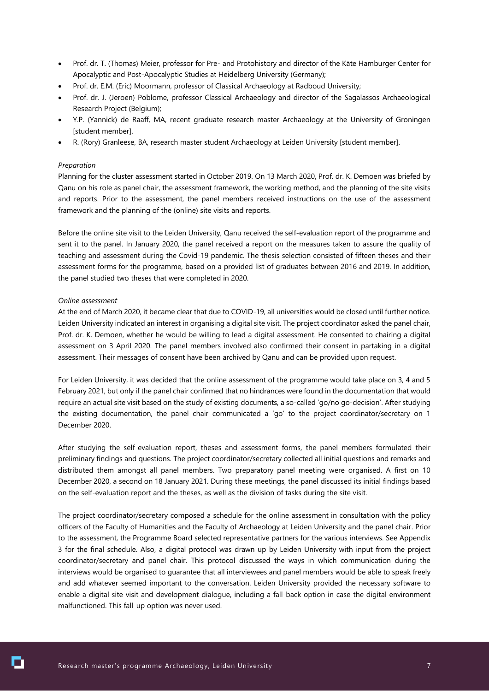- Prof. dr. T. (Thomas) Meier, professor for Pre- and Protohistory and director of the Käte Hamburger Center for Apocalyptic and Post-Apocalyptic Studies at Heidelberg University (Germany);
- Prof. dr. E.M. (Eric) Moormann, professor of Classical Archaeology at Radboud University;
- Prof. dr. J. (Jeroen) Poblome, professor Classical Archaeology and director of the Sagalassos Archaeological Research Project (Belgium);
- Y.P. (Yannick) de Raaff, MA, recent graduate research master Archaeology at the University of Groningen [student member].
- R. (Rory) Granleese, BA, research master student Archaeology at Leiden University [student member].

#### *Preparation*

Planning for the cluster assessment started in October 2019. On 13 March 2020, Prof. dr. K. Demoen was briefed by Qanu on his role as panel chair, the assessment framework, the working method, and the planning of the site visits and reports. Prior to the assessment, the panel members received instructions on the use of the assessment framework and the planning of the (online) site visits and reports.

Before the online site visit to the Leiden University, Qanu received the self-evaluation report of the programme and sent it to the panel. In January 2020, the panel received a report on the measures taken to assure the quality of teaching and assessment during the Covid-19 pandemic. The thesis selection consisted of fifteen theses and their assessment forms for the programme, based on a provided list of graduates between 2016 and 2019. In addition, the panel studied two theses that were completed in 2020.

#### *Online assessment*

At the end of March 2020, it became clear that due to COVID-19, all universities would be closed until further notice. Leiden University indicated an interest in organising a digital site visit. The project coordinator asked the panel chair, Prof. dr. K. Demoen, whether he would be willing to lead a digital assessment. He consented to chairing a digital assessment on 3 April 2020. The panel members involved also confirmed their consent in partaking in a digital assessment. Their messages of consent have been archived by Qanu and can be provided upon request.

For Leiden University, it was decided that the online assessment of the programme would take place on 3, 4 and 5 February 2021, but only if the panel chair confirmed that no hindrances were found in the documentation that would require an actual site visit based on the study of existing documents, a so-called 'go/no go-decision'. After studying the existing documentation, the panel chair communicated a 'go' to the project coordinator/secretary on 1 December 2020.

After studying the self-evaluation report, theses and assessment forms, the panel members formulated their preliminary findings and questions. The project coordinator/secretary collected all initial questions and remarks and distributed them amongst all panel members. Two preparatory panel meeting were organised. A first on 10 December 2020, a second on 18 January 2021. During these meetings, the panel discussed its initial findings based on the self-evaluation report and the theses, as well as the division of tasks during the site visit.

The project coordinator/secretary composed a schedule for the online assessment in consultation with the policy officers of the Faculty of Humanities and the Faculty of Archaeology at Leiden University and the panel chair. Prior to the assessment, the Programme Board selected representative partners for the various interviews. See Appendix 3 for the final schedule. Also, a digital protocol was drawn up by Leiden University with input from the project coordinator/secretary and panel chair. This protocol discussed the ways in which communication during the interviews would be organised to guarantee that all interviewees and panel members would be able to speak freely and add whatever seemed important to the conversation. Leiden University provided the necessary software to enable a digital site visit and development dialogue, including a fall-back option in case the digital environment malfunctioned. This fall-up option was never used.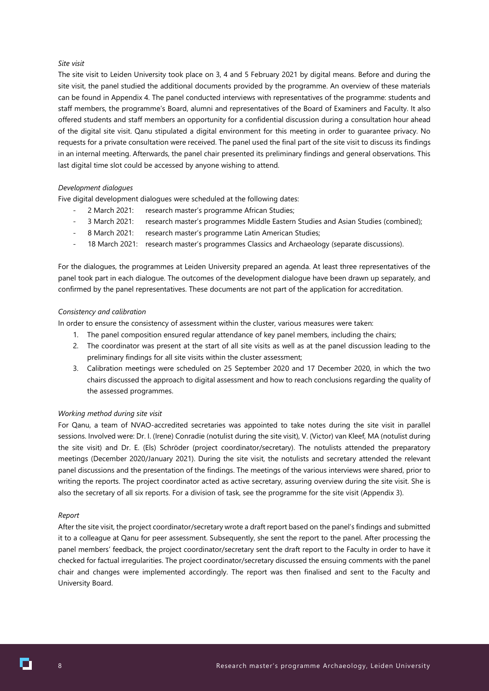#### *Site visit*

The site visit to Leiden University took place on 3, 4 and 5 February 2021 by digital means. Before and during the site visit, the panel studied the additional documents provided by the programme. An overview of these materials can be found in Appendix 4. The panel conducted interviews with representatives of the programme: students and staff members, the programme's Board, alumni and representatives of the Board of Examiners and Faculty. It also offered students and staff members an opportunity for a confidential discussion during a consultation hour ahead of the digital site visit. Qanu stipulated a digital environment for this meeting in order to guarantee privacy. No requests for a private consultation were received. The panel used the final part of the site visit to discuss its findings in an internal meeting. Afterwards, the panel chair presented its preliminary findings and general observations. This last digital time slot could be accessed by anyone wishing to attend.

#### *Development dialogues*

Five digital development dialogues were scheduled at the following dates:

- 2 March 2021: research master's programme African Studies;
- 3 March 2021: research master's programmes Middle Eastern Studies and Asian Studies (combined);
- 8 March 2021: research master's programme Latin American Studies;
- 18 March 2021: research master's programmes Classics and Archaeology (separate discussions).

For the dialogues, the programmes at Leiden University prepared an agenda. At least three representatives of the panel took part in each dialogue. The outcomes of the development dialogue have been drawn up separately, and confirmed by the panel representatives. These documents are not part of the application for accreditation.

#### *Consistency and calibration*

In order to ensure the consistency of assessment within the cluster, various measures were taken:

- 1. The panel composition ensured regular attendance of key panel members, including the chairs;
- 2. The coordinator was present at the start of all site visits as well as at the panel discussion leading to the preliminary findings for all site visits within the cluster assessment;
- 3. Calibration meetings were scheduled on 25 September 2020 and 17 December 2020, in which the two chairs discussed the approach to digital assessment and how to reach conclusions regarding the quality of the assessed programmes.

#### *Working method during site visit*

For Qanu, a team of NVAO-accredited secretaries was appointed to take notes during the site visit in parallel sessions. Involved were: Dr. I. (Irene) Conradie (notulist during the site visit), V. (Victor) van Kleef, MA (notulist during the site visit) and Dr. E. (Els) Schröder (project coordinator/secretary). The notulists attended the preparatory meetings (December 2020/January 2021). During the site visit, the notulists and secretary attended the relevant panel discussions and the presentation of the findings. The meetings of the various interviews were shared, prior to writing the reports. The project coordinator acted as active secretary, assuring overview during the site visit. She is also the secretary of all six reports. For a division of task, see the programme for the site visit (Appendix 3).

#### *Report*

After the site visit, the project coordinator/secretary wrote a draft report based on the panel's findings and submitted it to a colleague at Qanu for peer assessment. Subsequently, she sent the report to the panel. After processing the panel members' feedback, the project coordinator/secretary sent the draft report to the Faculty in order to have it checked for factual irregularities. The project coordinator/secretary discussed the ensuing comments with the panel chair and changes were implemented accordingly. The report was then finalised and sent to the Faculty and University Board.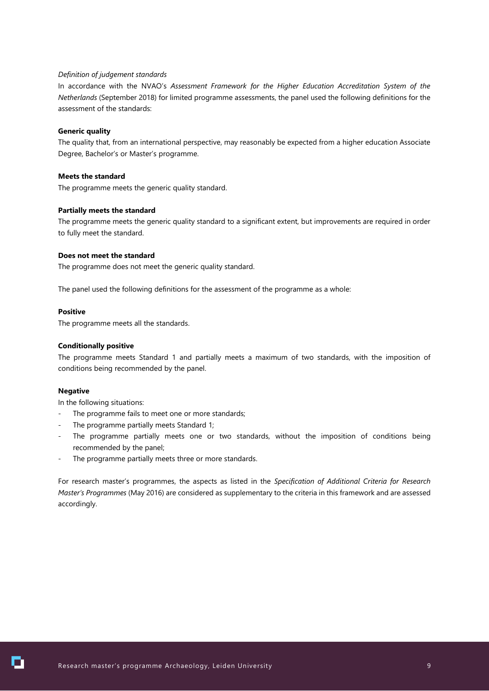#### *Definition of judgement standards*

In accordance with the NVAO's *Assessment Framework for the Higher Education Accreditation System of the Netherlands* (September 2018) for limited programme assessments, the panel used the following definitions for the assessment of the standards:

#### **Generic quality**

The quality that, from an international perspective, may reasonably be expected from a higher education Associate Degree, Bachelor's or Master's programme.

#### **Meets the standard**

The programme meets the generic quality standard.

#### **Partially meets the standard**

The programme meets the generic quality standard to a significant extent, but improvements are required in order to fully meet the standard.

#### **Does not meet the standard**

The programme does not meet the generic quality standard.

The panel used the following definitions for the assessment of the programme as a whole:

#### **Positive**

The programme meets all the standards.

#### **Conditionally positive**

The programme meets Standard 1 and partially meets a maximum of two standards, with the imposition of conditions being recommended by the panel.

#### **Negative**

In the following situations:

- The programme fails to meet one or more standards;
- The programme partially meets Standard 1;
- The programme partially meets one or two standards, without the imposition of conditions being recommended by the panel;
- The programme partially meets three or more standards.

For research master's programmes, the aspects as listed in the *Specification of Additional Criteria for Research Master's Programmes* (May 2016) are considered as supplementary to the criteria in this framework and are assessed accordingly.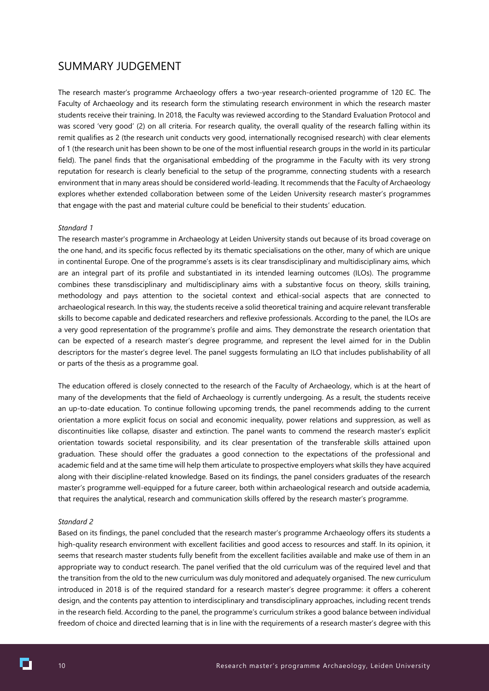# <span id="page-9-0"></span>SUMMARY JUDGEMENT

The research master's programme Archaeology offers a two-year research-oriented programme of 120 EC. The Faculty of Archaeology and its research form the stimulating research environment in which the research master students receive their training. In 2018, the Faculty was reviewed according to the Standard Evaluation Protocol and was scored 'very good' (2) on all criteria. For research quality, the overall quality of the research falling within its remit qualifies as 2 (the research unit conducts very good, internationally recognised research) with clear elements of 1 (the research unit has been shown to be one of the most influential research groups in the world in its particular field). The panel finds that the organisational embedding of the programme in the Faculty with its very strong reputation for research is clearly beneficial to the setup of the programme, connecting students with a research environment that in many areas should be considered world-leading. It recommends that the Faculty of Archaeology explores whether extended collaboration between some of the Leiden University research master's programmes that engage with the past and material culture could be beneficial to their students' education.

#### *Standard 1*

The research master's programme in Archaeology at Leiden University stands out because of its broad coverage on the one hand, and its specific focus reflected by its thematic specialisations on the other, many of which are unique in continental Europe. One of the programme's assets is its clear transdisciplinary and multidisciplinary aims, which are an integral part of its profile and substantiated in its intended learning outcomes (ILOs). The programme combines these transdisciplinary and multidisciplinary aims with a substantive focus on theory, skills training, methodology and pays attention to the societal context and ethical-social aspects that are connected to archaeological research. In this way, the students receive a solid theoretical training and acquire relevant transferable skills to become capable and dedicated researchers and reflexive professionals. According to the panel, the ILOs are a very good representation of the programme's profile and aims. They demonstrate the research orientation that can be expected of a research master's degree programme, and represent the level aimed for in the Dublin descriptors for the master's degree level. The panel suggests formulating an ILO that includes publishability of all or parts of the thesis as a programme goal.

The education offered is closely connected to the research of the Faculty of Archaeology, which is at the heart of many of the developments that the field of Archaeology is currently undergoing. As a result, the students receive an up-to-date education. To continue following upcoming trends, the panel recommends adding to the current orientation a more explicit focus on social and economic inequality, power relations and suppression, as well as discontinuities like collapse, disaster and extinction. The panel wants to commend the research master's explicit orientation towards societal responsibility, and its clear presentation of the transferable skills attained upon graduation. These should offer the graduates a good connection to the expectations of the professional and academic field and at the same time will help them articulate to prospective employers what skills they have acquired along with their discipline-related knowledge. Based on its findings, the panel considers graduates of the research master's programme well-equipped for a future career, both within archaeological research and outside academia, that requires the analytical, research and communication skills offered by the research master's programme.

#### *Standard 2*

Based on its findings, the panel concluded that the research master's programme Archaeology offers its students a high-quality research environment with excellent facilities and good access to resources and staff. In its opinion, it seems that research master students fully benefit from the excellent facilities available and make use of them in an appropriate way to conduct research. The panel verified that the old curriculum was of the required level and that the transition from the old to the new curriculum was duly monitored and adequately organised. The new curriculum introduced in 2018 is of the required standard for a research master's degree programme: it offers a coherent design, and the contents pay attention to interdisciplinary and transdisciplinary approaches, including recent trends in the research field. According to the panel, the programme's curriculum strikes a good balance between individual freedom of choice and directed learning that is in line with the requirements of a research master's degree with this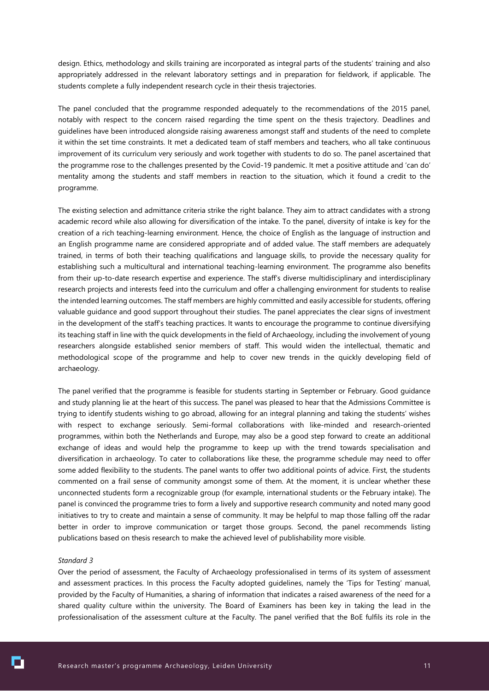design. Ethics, methodology and skills training are incorporated as integral parts of the students' training and also appropriately addressed in the relevant laboratory settings and in preparation for fieldwork, if applicable. The students complete a fully independent research cycle in their thesis trajectories.

The panel concluded that the programme responded adequately to the recommendations of the 2015 panel, notably with respect to the concern raised regarding the time spent on the thesis trajectory. Deadlines and guidelines have been introduced alongside raising awareness amongst staff and students of the need to complete it within the set time constraints. It met a dedicated team of staff members and teachers, who all take continuous improvement of its curriculum very seriously and work together with students to do so. The panel ascertained that the programme rose to the challenges presented by the Covid-19 pandemic. It met a positive attitude and 'can do' mentality among the students and staff members in reaction to the situation, which it found a credit to the programme.

The existing selection and admittance criteria strike the right balance. They aim to attract candidates with a strong academic record while also allowing for diversification of the intake. To the panel, diversity of intake is key for the creation of a rich teaching-learning environment. Hence, the choice of English as the language of instruction and an English programme name are considered appropriate and of added value. The staff members are adequately trained, in terms of both their teaching qualifications and language skills, to provide the necessary quality for establishing such a multicultural and international teaching-learning environment. The programme also benefits from their up-to-date research expertise and experience. The staff's diverse multidisciplinary and interdisciplinary research projects and interests feed into the curriculum and offer a challenging environment for students to realise the intended learning outcomes. The staff members are highly committed and easily accessible for students, offering valuable guidance and good support throughout their studies. The panel appreciates the clear signs of investment in the development of the staff's teaching practices. It wants to encourage the programme to continue diversifying its teaching staff in line with the quick developments in the field of Archaeology, including the involvement of young researchers alongside established senior members of staff. This would widen the intellectual, thematic and methodological scope of the programme and help to cover new trends in the quickly developing field of archaeology.

The panel verified that the programme is feasible for students starting in September or February. Good guidance and study planning lie at the heart of this success. The panel was pleased to hear that the Admissions Committee is trying to identify students wishing to go abroad, allowing for an integral planning and taking the students' wishes with respect to exchange seriously. Semi-formal collaborations with like-minded and research-oriented programmes, within both the Netherlands and Europe, may also be a good step forward to create an additional exchange of ideas and would help the programme to keep up with the trend towards specialisation and diversification in archaeology. To cater to collaborations like these, the programme schedule may need to offer some added flexibility to the students. The panel wants to offer two additional points of advice. First, the students commented on a frail sense of community amongst some of them. At the moment, it is unclear whether these unconnected students form a recognizable group (for example, international students or the February intake). The panel is convinced the programme tries to form a lively and supportive research community and noted many good initiatives to try to create and maintain a sense of community. It may be helpful to map those falling off the radar better in order to improve communication or target those groups. Second, the panel recommends listing publications based on thesis research to make the achieved level of publishability more visible.

#### *Standard 3*

Over the period of assessment, the Faculty of Archaeology professionalised in terms of its system of assessment and assessment practices. In this process the Faculty adopted guidelines, namely the 'Tips for Testing' manual, provided by the Faculty of Humanities, a sharing of information that indicates a raised awareness of the need for a shared quality culture within the university. The Board of Examiners has been key in taking the lead in the professionalisation of the assessment culture at the Faculty. The panel verified that the BoE fulfils its role in the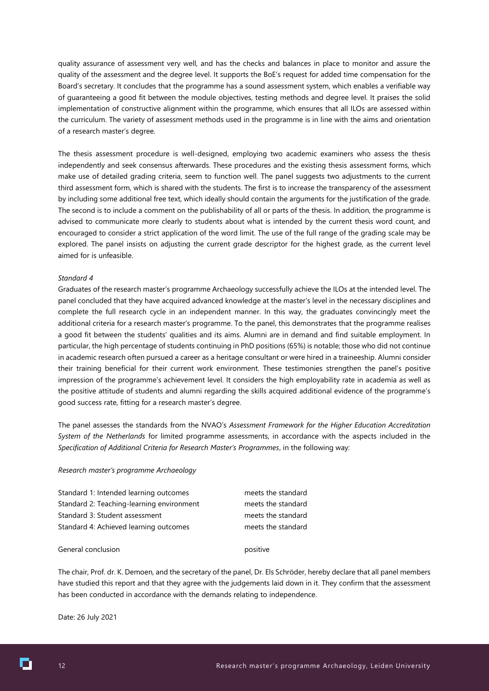quality assurance of assessment very well, and has the checks and balances in place to monitor and assure the quality of the assessment and the degree level. It supports the BoE's request for added time compensation for the Board's secretary. It concludes that the programme has a sound assessment system, which enables a verifiable way of guaranteeing a good fit between the module objectives, testing methods and degree level. It praises the solid implementation of constructive alignment within the programme, which ensures that all ILOs are assessed within the curriculum. The variety of assessment methods used in the programme is in line with the aims and orientation of a research master's degree.

The thesis assessment procedure is well-designed, employing two academic examiners who assess the thesis independently and seek consensus afterwards. These procedures and the existing thesis assessment forms, which make use of detailed grading criteria, seem to function well. The panel suggests two adjustments to the current third assessment form, which is shared with the students. The first is to increase the transparency of the assessment by including some additional free text, which ideally should contain the arguments for the justification of the grade. The second is to include a comment on the publishability of all or parts of the thesis. In addition, the programme is advised to communicate more clearly to students about what is intended by the current thesis word count, and encouraged to consider a strict application of the word limit. The use of the full range of the grading scale may be explored. The panel insists on adjusting the current grade descriptor for the highest grade, as the current level aimed for is unfeasible.

#### *Standard 4*

Graduates of the research master's programme Archaeology successfully achieve the ILOs at the intended level. The panel concluded that they have acquired advanced knowledge at the master's level in the necessary disciplines and complete the full research cycle in an independent manner. In this way, the graduates convincingly meet the additional criteria for a research master's programme. To the panel, this demonstrates that the programme realises a good fit between the students' qualities and its aims. Alumni are in demand and find suitable employment. In particular, the high percentage of students continuing in PhD positions (65%) is notable; those who did not continue in academic research often pursued a career as a heritage consultant or were hired in a traineeship. Alumni consider their training beneficial for their current work environment. These testimonies strengthen the panel's positive impression of the programme's achievement level. It considers the high employability rate in academia as well as the positive attitude of students and alumni regarding the skills acquired additional evidence of the programme's good success rate, fitting for a research master's degree.

The panel assesses the standards from the NVAO's *Assessment Framework for the Higher Education Accreditation System of the Netherlands* for limited programme assessments, in accordance with the aspects included in the *Specification of Additional Criteria for Research Master's Programmes*, in the following way:

#### *Research master's programme Archaeology*

| Standard 1: Intended learning outcomes    | meets the standard |
|-------------------------------------------|--------------------|
| Standard 2: Teaching-learning environment | meets the standard |
| Standard 3: Student assessment            | meets the standard |
| Standard 4: Achieved learning outcomes    | meets the standard |
|                                           |                    |
| General conclusion                        | positive           |

The chair, Prof. dr. K. Demoen, and the secretary of the panel, Dr. Els Schröder, hereby declare that all panel members have studied this report and that they agree with the judgements laid down in it. They confirm that the assessment has been conducted in accordance with the demands relating to independence.

Date: 26 July 2021

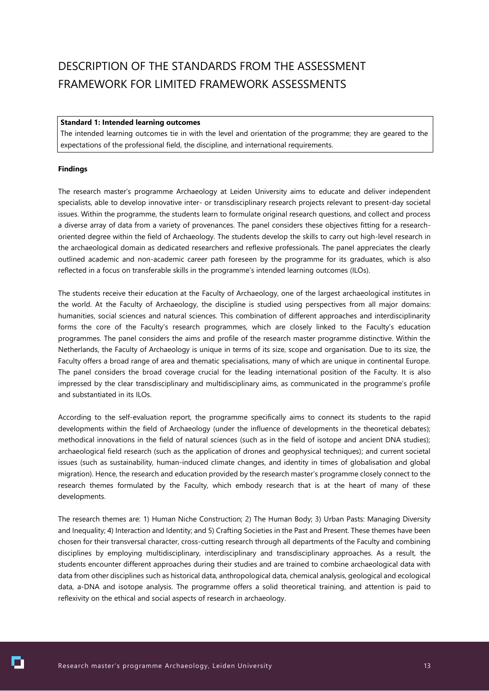# <span id="page-12-0"></span>DESCRIPTION OF THE STANDARDS FROM THE ASSESSMENT FRAMEWORK FOR LIMITED FRAMEWORK ASSESSMENTS

#### **Standard 1: Intended learning outcomes**

The intended learning outcomes tie in with the level and orientation of the programme; they are geared to the expectations of the professional field, the discipline, and international requirements.

#### **Findings**

The research master's programme Archaeology at Leiden University aims to educate and deliver independent specialists, able to develop innovative inter- or transdisciplinary research projects relevant to present-day societal issues. Within the programme, the students learn to formulate original research questions, and collect and process a diverse array of data from a variety of provenances. The panel considers these objectives fitting for a researchoriented degree within the field of Archaeology. The students develop the skills to carry out high-level research in the archaeological domain as dedicated researchers and reflexive professionals. The panel appreciates the clearly outlined academic and non-academic career path foreseen by the programme for its graduates, which is also reflected in a focus on transferable skills in the programme's intended learning outcomes (ILOs).

The students receive their education at the Faculty of Archaeology, one of the largest archaeological institutes in the world. At the Faculty of Archaeology, the discipline is studied using perspectives from all major domains: humanities, social sciences and natural sciences. This combination of different approaches and interdisciplinarity forms the core of the Faculty's research programmes, which are closely linked to the Faculty's education programmes. The panel considers the aims and profile of the research master programme distinctive. Within the Netherlands, the Faculty of Archaeology is unique in terms of its size, scope and organisation. Due to its size, the Faculty offers a broad range of area and thematic specialisations, many of which are unique in continental Europe. The panel considers the broad coverage crucial for the leading international position of the Faculty. It is also impressed by the clear transdisciplinary and multidisciplinary aims, as communicated in the programme's profile and substantiated in its ILOs.

According to the self-evaluation report, the programme specifically aims to connect its students to the rapid developments within the field of Archaeology (under the influence of developments in the theoretical debates); methodical innovations in the field of natural sciences (such as in the field of isotope and ancient DNA studies); archaeological field research (such as the application of drones and geophysical techniques); and current societal issues (such as sustainability, human-induced climate changes, and identity in times of globalisation and global migration). Hence, the research and education provided by the research master's programme closely connect to the research themes formulated by the Faculty, which embody research that is at the heart of many of these developments.

The research themes are: 1) Human Niche Construction; 2) The Human Body; 3) Urban Pasts: Managing Diversity and Inequality; 4) Interaction and Identity; and 5) Crafting Societies in the Past and Present. These themes have been chosen for their transversal character, cross-cutting research through all departments of the Faculty and combining disciplines by employing multidisciplinary, interdisciplinary and transdisciplinary approaches. As a result, the students encounter different approaches during their studies and are trained to combine archaeological data with data from other disciplines such as historical data, anthropological data, chemical analysis, geological and ecological data, a-DNA and isotope analysis. The programme offers a solid theoretical training, and attention is paid to reflexivity on the ethical and social aspects of research in archaeology.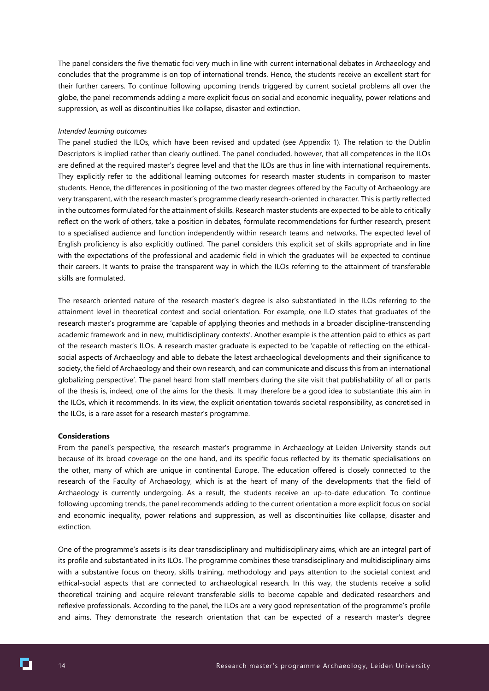The panel considers the five thematic foci very much in line with current international debates in Archaeology and concludes that the programme is on top of international trends. Hence, the students receive an excellent start for their further careers. To continue following upcoming trends triggered by current societal problems all over the globe, the panel recommends adding a more explicit focus on social and economic inequality, power relations and suppression, as well as discontinuities like collapse, disaster and extinction.

#### *Intended learning outcomes*

The panel studied the ILOs, which have been revised and updated (see Appendix 1). The relation to the Dublin Descriptors is implied rather than clearly outlined. The panel concluded, however, that all competences in the ILOs are defined at the required master's degree level and that the ILOs are thus in line with international requirements. They explicitly refer to the additional learning outcomes for research master students in comparison to master students. Hence, the differences in positioning of the two master degrees offered by the Faculty of Archaeology are very transparent, with the research master's programme clearly research-oriented in character. This is partly reflected in the outcomes formulated for the attainment of skills. Research master students are expected to be able to critically reflect on the work of others, take a position in debates, formulate recommendations for further research, present to a specialised audience and function independently within research teams and networks. The expected level of English proficiency is also explicitly outlined. The panel considers this explicit set of skills appropriate and in line with the expectations of the professional and academic field in which the graduates will be expected to continue their careers. It wants to praise the transparent way in which the ILOs referring to the attainment of transferable skills are formulated.

The research-oriented nature of the research master's degree is also substantiated in the ILOs referring to the attainment level in theoretical context and social orientation. For example, one ILO states that graduates of the research master's programme are 'capable of applying theories and methods in a broader discipline-transcending academic framework and in new, multidisciplinary contexts'. Another example is the attention paid to ethics as part of the research master's ILOs. A research master graduate is expected to be 'capable of reflecting on the ethicalsocial aspects of Archaeology and able to debate the latest archaeological developments and their significance to society, the field of Archaeology and their own research, and can communicate and discuss this from an international globalizing perspective'. The panel heard from staff members during the site visit that publishability of all or parts of the thesis is, indeed, one of the aims for the thesis. It may therefore be a good idea to substantiate this aim in the ILOs, which it recommends. In its view, the explicit orientation towards societal responsibility, as concretised in the ILOs, is a rare asset for a research master's programme.

#### **Considerations**

From the panel's perspective, the research master's programme in Archaeology at Leiden University stands out because of its broad coverage on the one hand, and its specific focus reflected by its thematic specialisations on the other, many of which are unique in continental Europe. The education offered is closely connected to the research of the Faculty of Archaeology, which is at the heart of many of the developments that the field of Archaeology is currently undergoing. As a result, the students receive an up-to-date education. To continue following upcoming trends, the panel recommends adding to the current orientation a more explicit focus on social and economic inequality, power relations and suppression, as well as discontinuities like collapse, disaster and extinction.

One of the programme's assets is its clear transdisciplinary and multidisciplinary aims, which are an integral part of its profile and substantiated in its ILOs. The programme combines these transdisciplinary and multidisciplinary aims with a substantive focus on theory, skills training, methodology and pays attention to the societal context and ethical-social aspects that are connected to archaeological research. In this way, the students receive a solid theoretical training and acquire relevant transferable skills to become capable and dedicated researchers and reflexive professionals. According to the panel, the ILOs are a very good representation of the programme's profile and aims. They demonstrate the research orientation that can be expected of a research master's degree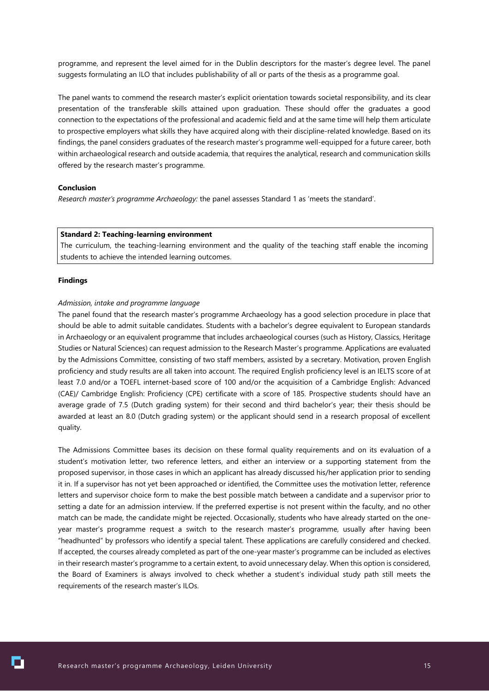programme, and represent the level aimed for in the Dublin descriptors for the master's degree level. The panel suggests formulating an ILO that includes publishability of all or parts of the thesis as a programme goal.

The panel wants to commend the research master's explicit orientation towards societal responsibility, and its clear presentation of the transferable skills attained upon graduation. These should offer the graduates a good connection to the expectations of the professional and academic field and at the same time will help them articulate to prospective employers what skills they have acquired along with their discipline-related knowledge. Based on its findings, the panel considers graduates of the research master's programme well-equipped for a future career, both within archaeological research and outside academia, that requires the analytical, research and communication skills offered by the research master's programme.

#### **Conclusion**

*Research master's programme Archaeology:* the panel assesses Standard 1 as 'meets the standard'.

#### **Standard 2: Teaching-learning environment**

The curriculum, the teaching-learning environment and the quality of the teaching staff enable the incoming students to achieve the intended learning outcomes.

#### **Findings**

#### *Admission, intake and programme language*

The panel found that the research master's programme Archaeology has a good selection procedure in place that should be able to admit suitable candidates. Students with a bachelor's degree equivalent to European standards in Archaeology or an equivalent programme that includes archaeological courses (such as History, Classics, Heritage Studies or Natural Sciences) can request admission to the Research Master's programme. Applications are evaluated by the Admissions Committee, consisting of two staff members, assisted by a secretary. Motivation, proven English proficiency and study results are all taken into account. The required English proficiency level is an IELTS score of at least 7.0 and/or a TOEFL internet-based score of 100 and/or the acquisition of a Cambridge English: Advanced (CAE)/ Cambridge English: Proficiency (CPE) certificate with a score of 185. Prospective students should have an average grade of 7.5 (Dutch grading system) for their second and third bachelor's year; their thesis should be awarded at least an 8.0 (Dutch grading system) or the applicant should send in a research proposal of excellent quality.

The Admissions Committee bases its decision on these formal quality requirements and on its evaluation of a student's motivation letter, two reference letters, and either an interview or a supporting statement from the proposed supervisor, in those cases in which an applicant has already discussed his/her application prior to sending it in. If a supervisor has not yet been approached or identified, the Committee uses the motivation letter, reference letters and supervisor choice form to make the best possible match between a candidate and a supervisor prior to setting a date for an admission interview. If the preferred expertise is not present within the faculty, and no other match can be made, the candidate might be rejected. Occasionally, students who have already started on the oneyear master's programme request a switch to the research master's programme, usually after having been "headhunted" by professors who identify a special talent. These applications are carefully considered and checked. If accepted, the courses already completed as part of the one-year master's programme can be included as electives in their research master's programme to a certain extent, to avoid unnecessary delay. When this option is considered, the Board of Examiners is always involved to check whether a student's individual study path still meets the requirements of the research master's ILOs.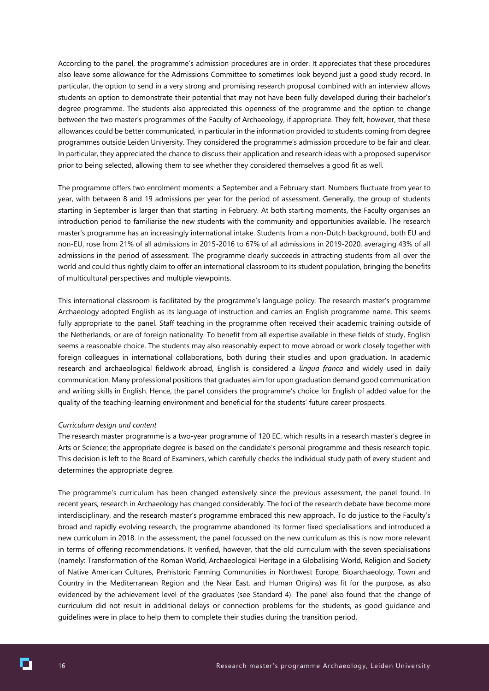According to the panel, the programme's admission procedures are in order. It appreciates that these procedures also leave some allowance for the Admissions Committee to sometimes look beyond just a good study record. In particular, the option to send in a very strong and promising research proposal combined with an interview allows students an option to demonstrate their potential that may not have been fully developed during their bachelor's degree programme. The students also appreciated this openness of the programme and the option to change between the two master's programmes of the Faculty of Archaeology, if appropriate. They felt, however, that these allowances could be better communicated, in particular in the information provided to students coming from degree programmes outside Leiden University. They considered the programme's admission procedure to be fair and clear. In particular, they appreciated the chance to discuss their application and research ideas with a proposed supervisor prior to being selected, allowing them to see whether they considered themselves a good fit as well.

The programme offers two enrolment moments: a September and a February start. Numbers fluctuate from year to year, with between 8 and 19 admissions per year for the period of assessment. Generally, the group of students starting in September is larger than that starting in February. At both starting moments, the Faculty organises an introduction period to familiarise the new students with the community and opportunities available. The research master's programme has an increasingly international intake. Students from a non-Dutch background, both EU and non-EU, rose from 21% of all admissions in 2015-2016 to 67% of all admissions in 2019-2020, averaging 43% of all admissions in the period of assessment. The programme clearly succeeds in attracting students from all over the world and could thus rightly claim to offer an international classroom to its student population, bringing the benefits of multicultural perspectives and multiple viewpoints.

This international classroom is facilitated by the programme's language policy. The research master's programme Archaeology adopted English as its language of instruction and carries an English programme name. This seems fully appropriate to the panel. Staff teaching in the programme often received their academic training outside of the Netherlands, or are of foreign nationality. To benefit from all expertise available in these fields of study, English seems a reasonable choice. The students may also reasonably expect to move abroad or work closely together with foreign colleagues in international collaborations, both during their studies and upon graduation. In academic research and archaeological fieldwork abroad, English is considered a *lingua franca* and widely used in daily communication*.* Many professional positions that graduates aim for upon graduation demand good communication and writing skills in English. Hence, the panel considers the programme's choice for English of added value for the quality of the teaching-learning environment and beneficial for the students' future career prospects.

#### *Curriculum design and content*

The research master programme is a two-year programme of 120 EC, which results in a research master's degree in Arts or Science; the appropriate degree is based on the candidate's personal programme and thesis research topic. This decision is left to the Board of Examiners, which carefully checks the individual study path of every student and determines the appropriate degree.

The programme's curriculum has been changed extensively since the previous assessment, the panel found. In recent years, research in Archaeology has changed considerably. The foci of the research debate have become more interdisciplinary, and the research master's programme embraced this new approach. To do justice to the Faculty's broad and rapidly evolving research, the programme abandoned its former fixed specialisations and introduced a new curriculum in 2018. In the assessment, the panel focussed on the new curriculum as this is now more relevant in terms of offering recommendations. It verified, however, that the old curriculum with the seven specialisations (namely: Transformation of the Roman World, Archaeological Heritage in a Globalising World, Religion and Society of Native American Cultures, Prehistoric Farming Communities in Northwest Europe, Bioarchaeology, Town and Country in the Mediterranean Region and the Near East, and Human Origins) was fit for the purpose, as also evidenced by the achievement level of the graduates (see Standard 4). The panel also found that the change of curriculum did not result in additional delays or connection problems for the students, as good guidance and guidelines were in place to help them to complete their studies during the transition period.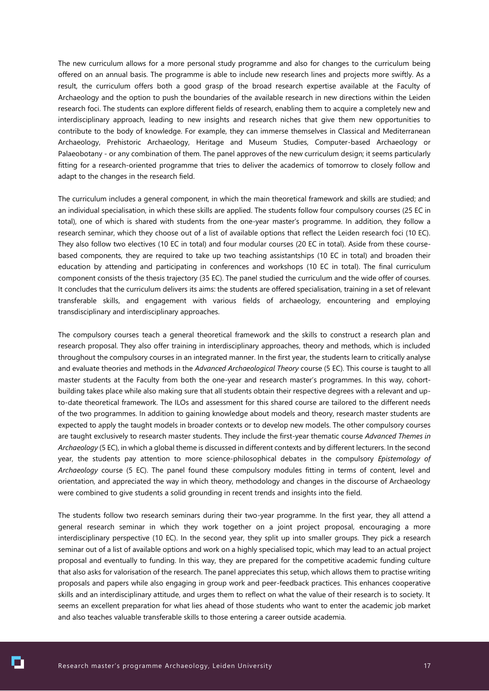The new curriculum allows for a more personal study programme and also for changes to the curriculum being offered on an annual basis. The programme is able to include new research lines and projects more swiftly. As a result, the curriculum offers both a good grasp of the broad research expertise available at the Faculty of Archaeology and the option to push the boundaries of the available research in new directions within the Leiden research foci. The students can explore different fields of research, enabling them to acquire a completely new and interdisciplinary approach, leading to new insights and research niches that give them new opportunities to contribute to the body of knowledge. For example, they can immerse themselves in Classical and Mediterranean Archaeology, Prehistoric Archaeology, Heritage and Museum Studies, Computer-based Archaeology or Palaeobotany - or any combination of them. The panel approves of the new curriculum design; it seems particularly fitting for a research-oriented programme that tries to deliver the academics of tomorrow to closely follow and adapt to the changes in the research field.

The curriculum includes a general component, in which the main theoretical framework and skills are studied; and an individual specialisation, in which these skills are applied. The students follow four compulsory courses (25 EC in total), one of which is shared with students from the one-year master's programme. In addition, they follow a research seminar, which they choose out of a list of available options that reflect the Leiden research foci (10 EC). They also follow two electives (10 EC in total) and four modular courses (20 EC in total). Aside from these coursebased components, they are required to take up two teaching assistantships (10 EC in total) and broaden their education by attending and participating in conferences and workshops (10 EC in total). The final curriculum component consists of the thesis trajectory (35 EC). The panel studied the curriculum and the wide offer of courses. It concludes that the curriculum delivers its aims: the students are offered specialisation, training in a set of relevant transferable skills, and engagement with various fields of archaeology, encountering and employing transdisciplinary and interdisciplinary approaches.

The compulsory courses teach a general theoretical framework and the skills to construct a research plan and research proposal. They also offer training in interdisciplinary approaches, theory and methods, which is included throughout the compulsory courses in an integrated manner. In the first year, the students learn to critically analyse and evaluate theories and methods in the *Advanced Archaeological Theory* course (5 EC). This course is taught to all master students at the Faculty from both the one-year and research master's programmes. In this way, cohortbuilding takes place while also making sure that all students obtain their respective degrees with a relevant and upto-date theoretical framework. The ILOs and assessment for this shared course are tailored to the different needs of the two programmes. In addition to gaining knowledge about models and theory, research master students are expected to apply the taught models in broader contexts or to develop new models. The other compulsory courses are taught exclusively to research master students. They include the first-year thematic course *Advanced Themes in Archaeology* (5 EC), in which a global theme is discussed in different contexts and by different lecturers. In the second year, the students pay attention to more science-philosophical debates in the compulsory *Epistemology of Archaeology* course (5 EC). The panel found these compulsory modules fitting in terms of content, level and orientation, and appreciated the way in which theory, methodology and changes in the discourse of Archaeology were combined to give students a solid grounding in recent trends and insights into the field.

The students follow two research seminars during their two-year programme. In the first year, they all attend a general research seminar in which they work together on a joint project proposal, encouraging a more interdisciplinary perspective (10 EC). In the second year, they split up into smaller groups. They pick a research seminar out of a list of available options and work on a highly specialised topic, which may lead to an actual project proposal and eventually to funding. In this way, they are prepared for the competitive academic funding culture that also asks for valorisation of the research. The panel appreciates this setup, which allows them to practise writing proposals and papers while also engaging in group work and peer-feedback practices. This enhances cooperative skills and an interdisciplinary attitude, and urges them to reflect on what the value of their research is to society. It seems an excellent preparation for what lies ahead of those students who want to enter the academic job market and also teaches valuable transferable skills to those entering a career outside academia.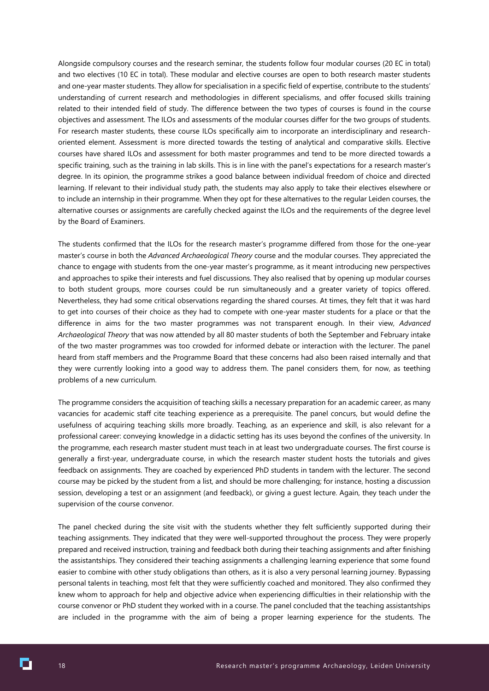Alongside compulsory courses and the research seminar, the students follow four modular courses (20 EC in total) and two electives (10 EC in total). These modular and elective courses are open to both research master students and one-year master students. They allow for specialisation in a specific field of expertise, contribute to the students' understanding of current research and methodologies in different specialisms, and offer focused skills training related to their intended field of study. The difference between the two types of courses is found in the course objectives and assessment. The ILOs and assessments of the modular courses differ for the two groups of students. For research master students, these course ILOs specifically aim to incorporate an interdisciplinary and researchoriented element. Assessment is more directed towards the testing of analytical and comparative skills. Elective courses have shared ILOs and assessment for both master programmes and tend to be more directed towards a specific training, such as the training in lab skills. This is in line with the panel's expectations for a research master's degree. In its opinion, the programme strikes a good balance between individual freedom of choice and directed learning. If relevant to their individual study path, the students may also apply to take their electives elsewhere or to include an internship in their programme. When they opt for these alternatives to the regular Leiden courses, the alternative courses or assignments are carefully checked against the ILOs and the requirements of the degree level by the Board of Examiners.

The students confirmed that the ILOs for the research master's programme differed from those for the one-year master's course in both the *Advanced Archaeological Theory* course and the modular courses. They appreciated the chance to engage with students from the one-year master's programme, as it meant introducing new perspectives and approaches to spike their interests and fuel discussions. They also realised that by opening up modular courses to both student groups, more courses could be run simultaneously and a greater variety of topics offered. Nevertheless, they had some critical observations regarding the shared courses. At times, they felt that it was hard to get into courses of their choice as they had to compete with one-year master students for a place or that the difference in aims for the two master programmes was not transparent enough. In their view, *Advanced Archaeological Theory* that was now attended by all 80 master students of both the September and February intake of the two master programmes was too crowded for informed debate or interaction with the lecturer. The panel heard from staff members and the Programme Board that these concerns had also been raised internally and that they were currently looking into a good way to address them. The panel considers them, for now, as teething problems of a new curriculum.

The programme considers the acquisition of teaching skills a necessary preparation for an academic career, as many vacancies for academic staff cite teaching experience as a prerequisite. The panel concurs, but would define the usefulness of acquiring teaching skills more broadly. Teaching, as an experience and skill, is also relevant for a professional career: conveying knowledge in a didactic setting has its uses beyond the confines of the university. In the programme, each research master student must teach in at least two undergraduate courses. The first course is generally a first-year, undergraduate course, in which the research master student hosts the tutorials and gives feedback on assignments. They are coached by experienced PhD students in tandem with the lecturer. The second course may be picked by the student from a list, and should be more challenging; for instance, hosting a discussion session, developing a test or an assignment (and feedback), or giving a guest lecture. Again, they teach under the supervision of the course convenor.

The panel checked during the site visit with the students whether they felt sufficiently supported during their teaching assignments. They indicated that they were well-supported throughout the process. They were properly prepared and received instruction, training and feedback both during their teaching assignments and after finishing the assistantships. They considered their teaching assignments a challenging learning experience that some found easier to combine with other study obligations than others, as it is also a very personal learning journey. Bypassing personal talents in teaching, most felt that they were sufficiently coached and monitored. They also confirmed they knew whom to approach for help and objective advice when experiencing difficulties in their relationship with the course convenor or PhD student they worked with in a course. The panel concluded that the teaching assistantships are included in the programme with the aim of being a proper learning experience for the students. The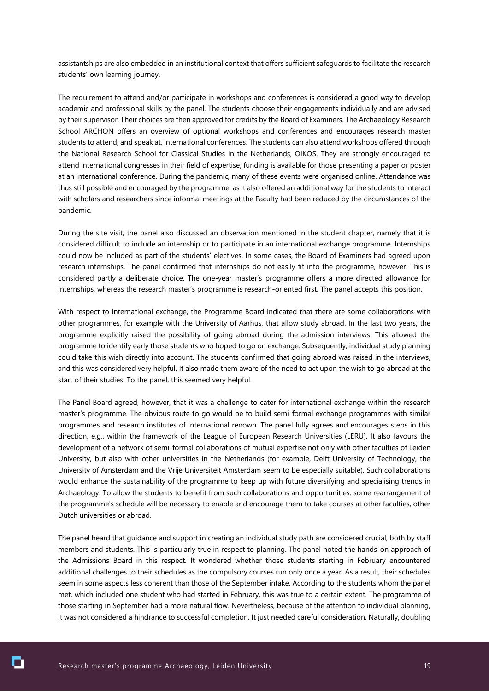assistantships are also embedded in an institutional context that offers sufficient safeguards to facilitate the research students' own learning journey.

The requirement to attend and/or participate in workshops and conferences is considered a good way to develop academic and professional skills by the panel. The students choose their engagements individually and are advised by their supervisor. Their choices are then approved for credits by the Board of Examiners. The Archaeology Research School ARCHON offers an overview of optional workshops and conferences and encourages research master students to attend, and speak at, international conferences. The students can also attend workshops offered through the National Research School for Classical Studies in the Netherlands, OIKOS. They are strongly encouraged to attend international congresses in their field of expertise; funding is available for those presenting a paper or poster at an international conference. During the pandemic, many of these events were organised online. Attendance was thus still possible and encouraged by the programme, as it also offered an additional way for the students to interact with scholars and researchers since informal meetings at the Faculty had been reduced by the circumstances of the pandemic.

During the site visit, the panel also discussed an observation mentioned in the student chapter, namely that it is considered difficult to include an internship or to participate in an international exchange programme. Internships could now be included as part of the students' electives. In some cases, the Board of Examiners had agreed upon research internships. The panel confirmed that internships do not easily fit into the programme, however. This is considered partly a deliberate choice. The one-year master's programme offers a more directed allowance for internships, whereas the research master's programme is research-oriented first. The panel accepts this position.

With respect to international exchange, the Programme Board indicated that there are some collaborations with other programmes, for example with the University of Aarhus, that allow study abroad. In the last two years, the programme explicitly raised the possibility of going abroad during the admission interviews. This allowed the programme to identify early those students who hoped to go on exchange. Subsequently, individual study planning could take this wish directly into account. The students confirmed that going abroad was raised in the interviews, and this was considered very helpful. It also made them aware of the need to act upon the wish to go abroad at the start of their studies. To the panel, this seemed very helpful.

The Panel Board agreed, however, that it was a challenge to cater for international exchange within the research master's programme. The obvious route to go would be to build semi-formal exchange programmes with similar programmes and research institutes of international renown. The panel fully agrees and encourages steps in this direction, e.g., within the framework of the League of European Research Universities (LERU). It also favours the development of a network of semi-formal collaborations of mutual expertise not only with other faculties of Leiden University, but also with other universities in the Netherlands (for example, Delft University of Technology, the University of Amsterdam and the Vrije Universiteit Amsterdam seem to be especially suitable). Such collaborations would enhance the sustainability of the programme to keep up with future diversifying and specialising trends in Archaeology. To allow the students to benefit from such collaborations and opportunities, some rearrangement of the programme's schedule will be necessary to enable and encourage them to take courses at other faculties, other Dutch universities or abroad.

The panel heard that guidance and support in creating an individual study path are considered crucial, both by staff members and students. This is particularly true in respect to planning. The panel noted the hands-on approach of the Admissions Board in this respect. It wondered whether those students starting in February encountered additional challenges to their schedules as the compulsory courses run only once a year. As a result, their schedules seem in some aspects less coherent than those of the September intake. According to the students whom the panel met, which included one student who had started in February, this was true to a certain extent. The programme of those starting in September had a more natural flow. Nevertheless, because of the attention to individual planning, it was not considered a hindrance to successful completion. It just needed careful consideration. Naturally, doubling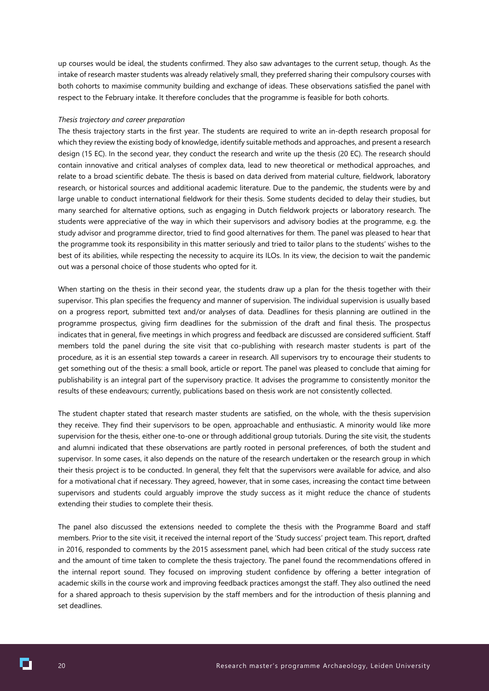up courses would be ideal, the students confirmed. They also saw advantages to the current setup, though. As the intake of research master students was already relatively small, they preferred sharing their compulsory courses with both cohorts to maximise community building and exchange of ideas. These observations satisfied the panel with respect to the February intake. It therefore concludes that the programme is feasible for both cohorts.

#### *Thesis trajectory and career preparation*

The thesis trajectory starts in the first year. The students are required to write an in-depth research proposal for which they review the existing body of knowledge, identify suitable methods and approaches, and present a research design (15 EC). In the second year, they conduct the research and write up the thesis (20 EC). The research should contain innovative and critical analyses of complex data, lead to new theoretical or methodical approaches, and relate to a broad scientific debate. The thesis is based on data derived from material culture, fieldwork, laboratory research, or historical sources and additional academic literature. Due to the pandemic, the students were by and large unable to conduct international fieldwork for their thesis. Some students decided to delay their studies, but many searched for alternative options, such as engaging in Dutch fieldwork projects or laboratory research. The students were appreciative of the way in which their supervisors and advisory bodies at the programme, e.g. the study advisor and programme director, tried to find good alternatives for them. The panel was pleased to hear that the programme took its responsibility in this matter seriously and tried to tailor plans to the students' wishes to the best of its abilities, while respecting the necessity to acquire its ILOs. In its view, the decision to wait the pandemic out was a personal choice of those students who opted for it.

When starting on the thesis in their second year, the students draw up a plan for the thesis together with their supervisor. This plan specifies the frequency and manner of supervision. The individual supervision is usually based on a progress report, submitted text and/or analyses of data. Deadlines for thesis planning are outlined in the programme prospectus, giving firm deadlines for the submission of the draft and final thesis. The prospectus indicates that in general, five meetings in which progress and feedback are discussed are considered sufficient. Staff members told the panel during the site visit that co-publishing with research master students is part of the procedure, as it is an essential step towards a career in research. All supervisors try to encourage their students to get something out of the thesis: a small book, article or report. The panel was pleased to conclude that aiming for publishability is an integral part of the supervisory practice. It advises the programme to consistently monitor the results of these endeavours; currently, publications based on thesis work are not consistently collected.

The student chapter stated that research master students are satisfied, on the whole, with the thesis supervision they receive. They find their supervisors to be open, approachable and enthusiastic. A minority would like more supervision for the thesis, either one-to-one or through additional group tutorials. During the site visit, the students and alumni indicated that these observations are partly rooted in personal preferences, of both the student and supervisor. In some cases, it also depends on the nature of the research undertaken or the research group in which their thesis project is to be conducted. In general, they felt that the supervisors were available for advice, and also for a motivational chat if necessary. They agreed, however, that in some cases, increasing the contact time between supervisors and students could arguably improve the study success as it might reduce the chance of students extending their studies to complete their thesis.

The panel also discussed the extensions needed to complete the thesis with the Programme Board and staff members. Prior to the site visit, it received the internal report of the 'Study success' project team. This report, drafted in 2016, responded to comments by the 2015 assessment panel, which had been critical of the study success rate and the amount of time taken to complete the thesis trajectory. The panel found the recommendations offered in the internal report sound. They focused on improving student confidence by offering a better integration of academic skills in the course work and improving feedback practices amongst the staff. They also outlined the need for a shared approach to thesis supervision by the staff members and for the introduction of thesis planning and set deadlines.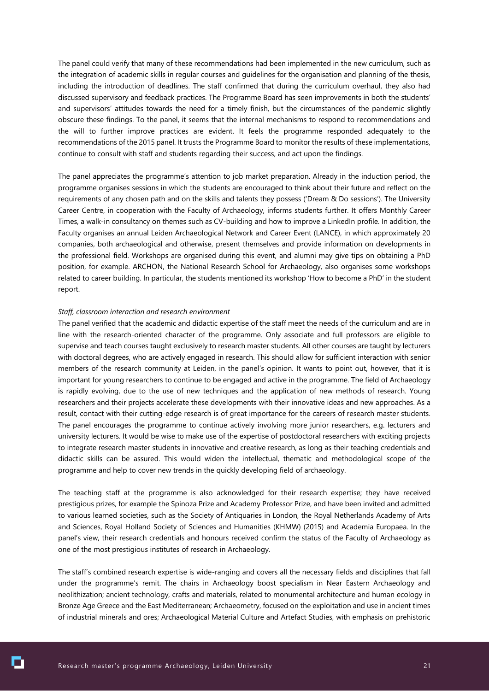The panel could verify that many of these recommendations had been implemented in the new curriculum, such as the integration of academic skills in regular courses and guidelines for the organisation and planning of the thesis, including the introduction of deadlines. The staff confirmed that during the curriculum overhaul, they also had discussed supervisory and feedback practices. The Programme Board has seen improvements in both the students' and supervisors' attitudes towards the need for a timely finish, but the circumstances of the pandemic slightly obscure these findings. To the panel, it seems that the internal mechanisms to respond to recommendations and the will to further improve practices are evident. It feels the programme responded adequately to the recommendations of the 2015 panel. It trusts the Programme Board to monitor the results of these implementations, continue to consult with staff and students regarding their success, and act upon the findings.

The panel appreciates the programme's attention to job market preparation. Already in the induction period, the programme organises sessions in which the students are encouraged to think about their future and reflect on the requirements of any chosen path and on the skills and talents they possess ('Dream & Do sessions'). The University Career Centre, in cooperation with the Faculty of Archaeology, informs students further. It offers Monthly Career Times, a walk-in consultancy on themes such as CV-building and how to improve a LinkedIn profile. In addition, the Faculty organises an annual Leiden Archaeological Network and Career Event (LANCE), in which approximately 20 companies, both archaeological and otherwise, present themselves and provide information on developments in the professional field. Workshops are organised during this event, and alumni may give tips on obtaining a PhD position, for example. ARCHON, the National Research School for Archaeology, also organises some workshops related to career building. In particular, the students mentioned its workshop 'How to become a PhD' in the student report.

#### *Staff, classroom interaction and research environment*

The panel verified that the academic and didactic expertise of the staff meet the needs of the curriculum and are in line with the research-oriented character of the programme. Only associate and full professors are eligible to supervise and teach courses taught exclusively to research master students. All other courses are taught by lecturers with doctoral degrees, who are actively engaged in research. This should allow for sufficient interaction with senior members of the research community at Leiden, in the panel's opinion. It wants to point out, however, that it is important for young researchers to continue to be engaged and active in the programme. The field of Archaeology is rapidly evolving, due to the use of new techniques and the application of new methods of research. Young researchers and their projects accelerate these developments with their innovative ideas and new approaches. As a result, contact with their cutting-edge research is of great importance for the careers of research master students. The panel encourages the programme to continue actively involving more junior researchers, e.g. lecturers and university lecturers. It would be wise to make use of the expertise of postdoctoral researchers with exciting projects to integrate research master students in innovative and creative research, as long as their teaching credentials and didactic skills can be assured. This would widen the intellectual, thematic and methodological scope of the programme and help to cover new trends in the quickly developing field of archaeology.

The teaching staff at the programme is also acknowledged for their research expertise; they have received prestigious prizes, for example the Spinoza Prize and Academy Professor Prize, and have been invited and admitted to various learned societies, such as the Society of Antiquaries in London, the Royal Netherlands Academy of Arts and Sciences, Royal Holland Society of Sciences and Humanities (KHMW) (2015) and Academia Europaea. In the panel's view, their research credentials and honours received confirm the status of the Faculty of Archaeology as one of the most prestigious institutes of research in Archaeology.

The staff's combined research expertise is wide-ranging and covers all the necessary fields and disciplines that fall under the programme's remit. The chairs in Archaeology boost specialism in Near Eastern Archaeology and neolithization; ancient technology, crafts and materials, related to monumental architecture and human ecology in Bronze Age Greece and the East Mediterranean; Archaeometry, focused on the exploitation and use in ancient times of industrial minerals and ores; Archaeological Material Culture and Artefact Studies, with emphasis on prehistoric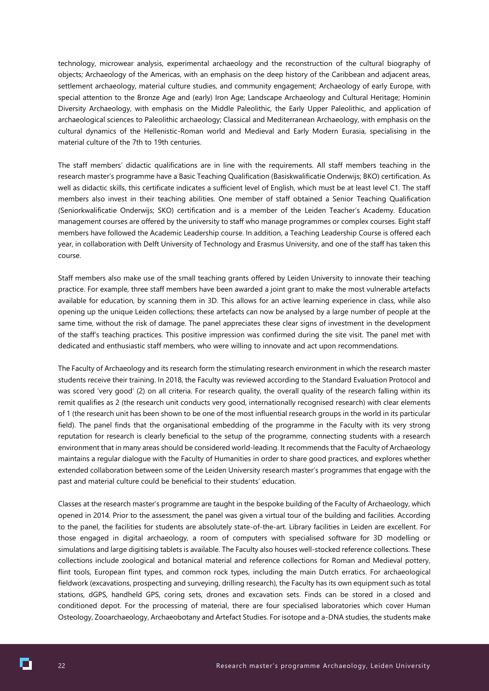technology, microwear analysis, experimental archaeology and the reconstruction of the cultural biography of objects; Archaeology of the Americas, with an emphasis on the deep history of the Caribbean and adjacent areas, settlement archaeology, material culture studies, and community engagement; Archaeology of early Europe, with special attention to the Bronze Age and (early) Iron Age; Landscape Archaeology and Cultural Heritage; Hominin Diversity Archaeology, with emphasis on the Middle Paleolithic, the Early Upper Paleolithic, and application of archaeological sciences to Paleolithic archaeology; Classical and Mediterranean Archaeology, with emphasis on the cultural dynamics of the Hellenistic-Roman world and Medieval and Early Modern Eurasia, specialising in the material culture of the 7th to 19th centuries.

The staff members' didactic qualifications are in line with the requirements. All staff members teaching in the research master's programme have a Basic Teaching Qualification (Basiskwalificatie Onderwijs; BKO) certification. As well as didactic skills, this certificate indicates a sufficient level of English, which must be at least level C1. The staff members also invest in their teaching abilities. One member of staff obtained a Senior Teaching Qualification (Seniorkwalificatie Onderwijs; SKO) certification and is a member of the Leiden Teacher's Academy. Education management courses are offered by the university to staff who manage programmes or complex courses. Eight staff members have followed the Academic Leadership course. In addition, a Teaching Leadership Course is offered each year, in collaboration with Delft University of Technology and Erasmus University, and one of the staff has taken this course.

Staff members also make use of the small teaching grants offered by Leiden University to innovate their teaching practice. For example, three staff members have been awarded a joint grant to make the most vulnerable artefacts available for education, by scanning them in 3D. This allows for an active learning experience in class, while also opening up the unique Leiden collections; these artefacts can now be analysed by a large number of people at the same time, without the risk of damage. The panel appreciates these clear signs of investment in the development of the staff's teaching practices. This positive impression was confirmed during the site visit. The panel met with dedicated and enthusiastic staff members, who were willing to innovate and act upon recommendations.

The Faculty of Archaeology and its research form the stimulating research environment in which the research master students receive their training. In 2018, the Faculty was reviewed according to the Standard Evaluation Protocol and was scored 'very good' (2) on all criteria. For research quality, the overall quality of the research falling within its remit qualifies as 2 (the research unit conducts very good, internationally recognised research) with clear elements of 1 (the research unit has been shown to be one of the most influential research groups in the world in its particular field). The panel finds that the organisational embedding of the programme in the Faculty with its very strong reputation for research is clearly beneficial to the setup of the programme, connecting students with a research environment that in many areas should be considered world-leading. It recommends that the Faculty of Archaeology maintains a regular dialogue with the Faculty of Humanities in order to share good practices, and explores whether extended collaboration between some of the Leiden University research master's programmes that engage with the past and material culture could be beneficial to their students' education.

Classes at the research master's programme are taught in the bespoke building of the Faculty of Archaeology, which opened in 2014. Prior to the assessment, the panel was given a virtual tour of the building and facilities. According to the panel, the facilities for students are absolutely state-of-the-art. Library facilities in Leiden are excellent. For those engaged in digital archaeology, a room of computers with specialised software for 3D modelling or simulations and large digitising tablets is available. The Faculty also houses well-stocked reference collections. These collections include zoological and botanical material and reference collections for Roman and Medieval pottery, flint tools, European flint types, and common rock types, including the main Dutch erratics. For archaeological fieldwork (excavations, prospecting and surveying, drilling research), the Faculty has its own equipment such as total stations, dGPS, handheld GPS, coring sets, drones and excavation sets. Finds can be stored in a closed and conditioned depot. For the processing of material, there are four specialised laboratories which cover Human Osteology, Zooarchaeology, Archaeobotany and Artefact Studies. For isotope and a-DNA studies, the students make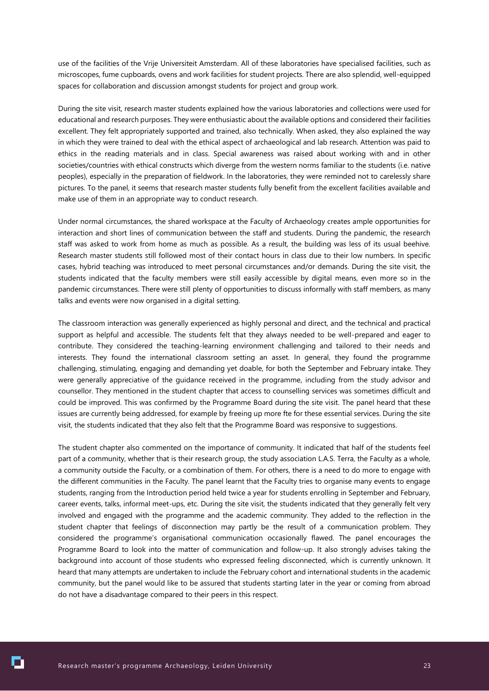use of the facilities of the Vrije Universiteit Amsterdam. All of these laboratories have specialised facilities, such as microscopes, fume cupboards, ovens and work facilities for student projects. There are also splendid, well-equipped spaces for collaboration and discussion amongst students for project and group work.

During the site visit, research master students explained how the various laboratories and collections were used for educational and research purposes. They were enthusiastic about the available options and considered their facilities excellent. They felt appropriately supported and trained, also technically. When asked, they also explained the way in which they were trained to deal with the ethical aspect of archaeological and lab research. Attention was paid to ethics in the reading materials and in class. Special awareness was raised about working with and in other societies/countries with ethical constructs which diverge from the western norms familiar to the students (i.e. native peoples), especially in the preparation of fieldwork. In the laboratories, they were reminded not to carelessly share pictures. To the panel, it seems that research master students fully benefit from the excellent facilities available and make use of them in an appropriate way to conduct research.

Under normal circumstances, the shared workspace at the Faculty of Archaeology creates ample opportunities for interaction and short lines of communication between the staff and students. During the pandemic, the research staff was asked to work from home as much as possible. As a result, the building was less of its usual beehive. Research master students still followed most of their contact hours in class due to their low numbers. In specific cases, hybrid teaching was introduced to meet personal circumstances and/or demands. During the site visit, the students indicated that the faculty members were still easily accessible by digital means, even more so in the pandemic circumstances. There were still plenty of opportunities to discuss informally with staff members, as many talks and events were now organised in a digital setting.

The classroom interaction was generally experienced as highly personal and direct, and the technical and practical support as helpful and accessible. The students felt that they always needed to be well-prepared and eager to contribute. They considered the teaching-learning environment challenging and tailored to their needs and interests. They found the international classroom setting an asset. In general, they found the programme challenging, stimulating, engaging and demanding yet doable, for both the September and February intake. They were generally appreciative of the guidance received in the programme, including from the study advisor and counsellor. They mentioned in the student chapter that access to counselling services was sometimes difficult and could be improved. This was confirmed by the Programme Board during the site visit. The panel heard that these issues are currently being addressed, for example by freeing up more fte for these essential services. During the site visit, the students indicated that they also felt that the Programme Board was responsive to suggestions.

The student chapter also commented on the importance of community. It indicated that half of the students feel part of a community, whether that is their research group, the study association L.A.S. Terra, the Faculty as a whole, a community outside the Faculty, or a combination of them. For others, there is a need to do more to engage with the different communities in the Faculty. The panel learnt that the Faculty tries to organise many events to engage students, ranging from the Introduction period held twice a year for students enrolling in September and February, career events, talks, informal meet-ups, etc. During the site visit, the students indicated that they generally felt very involved and engaged with the programme and the academic community. They added to the reflection in the student chapter that feelings of disconnection may partly be the result of a communication problem. They considered the programme's organisational communication occasionally flawed. The panel encourages the Programme Board to look into the matter of communication and follow-up. It also strongly advises taking the background into account of those students who expressed feeling disconnected, which is currently unknown. It heard that many attempts are undertaken to include the February cohort and international students in the academic community, but the panel would like to be assured that students starting later in the year or coming from abroad do not have a disadvantage compared to their peers in this respect.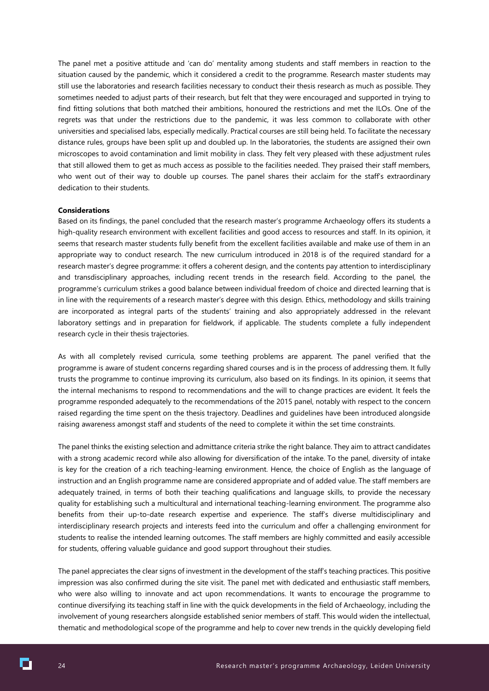The panel met a positive attitude and 'can do' mentality among students and staff members in reaction to the situation caused by the pandemic, which it considered a credit to the programme. Research master students may still use the laboratories and research facilities necessary to conduct their thesis research as much as possible. They sometimes needed to adjust parts of their research, but felt that they were encouraged and supported in trying to find fitting solutions that both matched their ambitions, honoured the restrictions and met the ILOs. One of the regrets was that under the restrictions due to the pandemic, it was less common to collaborate with other universities and specialised labs, especially medically. Practical courses are still being held. To facilitate the necessary distance rules, groups have been split up and doubled up. In the laboratories, the students are assigned their own microscopes to avoid contamination and limit mobility in class. They felt very pleased with these adjustment rules that still allowed them to get as much access as possible to the facilities needed. They praised their staff members, who went out of their way to double up courses. The panel shares their acclaim for the staff's extraordinary dedication to their students.

#### **Considerations**

Based on its findings, the panel concluded that the research master's programme Archaeology offers its students a high-quality research environment with excellent facilities and good access to resources and staff. In its opinion, it seems that research master students fully benefit from the excellent facilities available and make use of them in an appropriate way to conduct research. The new curriculum introduced in 2018 is of the required standard for a research master's degree programme: it offers a coherent design, and the contents pay attention to interdisciplinary and transdisciplinary approaches, including recent trends in the research field. According to the panel, the programme's curriculum strikes a good balance between individual freedom of choice and directed learning that is in line with the requirements of a research master's degree with this design. Ethics, methodology and skills training are incorporated as integral parts of the students' training and also appropriately addressed in the relevant laboratory settings and in preparation for fieldwork, if applicable. The students complete a fully independent research cycle in their thesis trajectories.

As with all completely revised curricula, some teething problems are apparent. The panel verified that the programme is aware of student concerns regarding shared courses and is in the process of addressing them. It fully trusts the programme to continue improving its curriculum, also based on its findings. In its opinion, it seems that the internal mechanisms to respond to recommendations and the will to change practices are evident. It feels the programme responded adequately to the recommendations of the 2015 panel, notably with respect to the concern raised regarding the time spent on the thesis trajectory. Deadlines and guidelines have been introduced alongside raising awareness amongst staff and students of the need to complete it within the set time constraints.

The panel thinks the existing selection and admittance criteria strike the right balance. They aim to attract candidates with a strong academic record while also allowing for diversification of the intake. To the panel, diversity of intake is key for the creation of a rich teaching-learning environment. Hence, the choice of English as the language of instruction and an English programme name are considered appropriate and of added value. The staff members are adequately trained, in terms of both their teaching qualifications and language skills, to provide the necessary quality for establishing such a multicultural and international teaching-learning environment. The programme also benefits from their up-to-date research expertise and experience. The staff's diverse multidisciplinary and interdisciplinary research projects and interests feed into the curriculum and offer a challenging environment for students to realise the intended learning outcomes. The staff members are highly committed and easily accessible for students, offering valuable guidance and good support throughout their studies.

The panel appreciates the clear signs of investment in the development of the staff's teaching practices. This positive impression was also confirmed during the site visit. The panel met with dedicated and enthusiastic staff members, who were also willing to innovate and act upon recommendations. It wants to encourage the programme to continue diversifying its teaching staff in line with the quick developments in the field of Archaeology, including the involvement of young researchers alongside established senior members of staff. This would widen the intellectual, thematic and methodological scope of the programme and help to cover new trends in the quickly developing field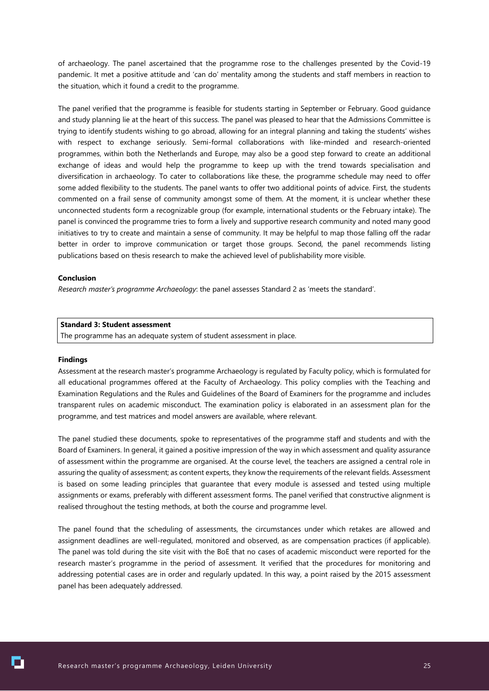of archaeology. The panel ascertained that the programme rose to the challenges presented by the Covid-19 pandemic. It met a positive attitude and 'can do' mentality among the students and staff members in reaction to the situation, which it found a credit to the programme.

The panel verified that the programme is feasible for students starting in September or February. Good guidance and study planning lie at the heart of this success. The panel was pleased to hear that the Admissions Committee is trying to identify students wishing to go abroad, allowing for an integral planning and taking the students' wishes with respect to exchange seriously. Semi-formal collaborations with like-minded and research-oriented programmes, within both the Netherlands and Europe, may also be a good step forward to create an additional exchange of ideas and would help the programme to keep up with the trend towards specialisation and diversification in archaeology. To cater to collaborations like these, the programme schedule may need to offer some added flexibility to the students. The panel wants to offer two additional points of advice. First, the students commented on a frail sense of community amongst some of them. At the moment, it is unclear whether these unconnected students form a recognizable group (for example, international students or the February intake). The panel is convinced the programme tries to form a lively and supportive research community and noted many good initiatives to try to create and maintain a sense of community. It may be helpful to map those falling off the radar better in order to improve communication or target those groups. Second, the panel recommends listing publications based on thesis research to make the achieved level of publishability more visible.

#### **Conclusion**

*Research master's programme Archaeology*: the panel assesses Standard 2 as 'meets the standard'.

#### **Standard 3: Student assessment**

The programme has an adequate system of student assessment in place.

#### **Findings**

Assessment at the research master's programme Archaeology is regulated by Faculty policy, which is formulated for all educational programmes offered at the Faculty of Archaeology. This policy complies with the Teaching and Examination Regulations and the Rules and Guidelines of the Board of Examiners for the programme and includes transparent rules on academic misconduct. The examination policy is elaborated in an assessment plan for the programme, and test matrices and model answers are available, where relevant.

The panel studied these documents, spoke to representatives of the programme staff and students and with the Board of Examiners. In general, it gained a positive impression of the way in which assessment and quality assurance of assessment within the programme are organised. At the course level, the teachers are assigned a central role in assuring the quality of assessment; as content experts, they know the requirements of the relevant fields. Assessment is based on some leading principles that guarantee that every module is assessed and tested using multiple assignments or exams, preferably with different assessment forms. The panel verified that constructive alignment is realised throughout the testing methods, at both the course and programme level.

The panel found that the scheduling of assessments, the circumstances under which retakes are allowed and assignment deadlines are well-regulated, monitored and observed, as are compensation practices (if applicable). The panel was told during the site visit with the BoE that no cases of academic misconduct were reported for the research master's programme in the period of assessment. It verified that the procedures for monitoring and addressing potential cases are in order and regularly updated. In this way, a point raised by the 2015 assessment panel has been adequately addressed.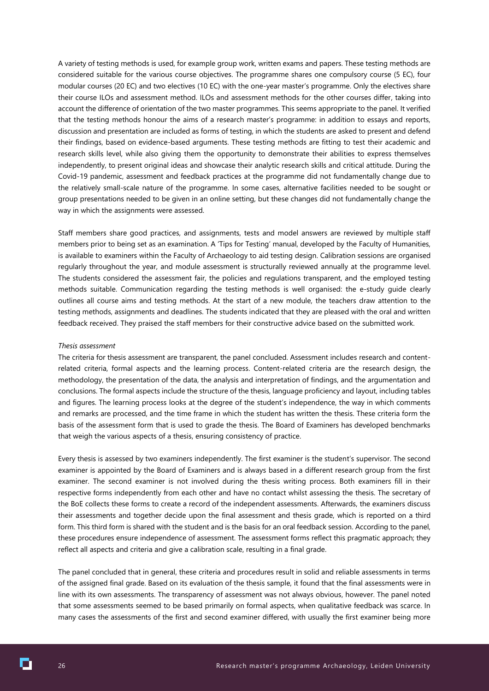A variety of testing methods is used, for example group work, written exams and papers. These testing methods are considered suitable for the various course objectives. The programme shares one compulsory course (5 EC), four modular courses (20 EC) and two electives (10 EC) with the one-year master's programme. Only the electives share their course ILOs and assessment method. ILOs and assessment methods for the other courses differ, taking into account the difference of orientation of the two master programmes. This seems appropriate to the panel. It verified that the testing methods honour the aims of a research master's programme: in addition to essays and reports, discussion and presentation are included as forms of testing, in which the students are asked to present and defend their findings, based on evidence-based arguments. These testing methods are fitting to test their academic and research skills level, while also giving them the opportunity to demonstrate their abilities to express themselves independently, to present original ideas and showcase their analytic research skills and critical attitude. During the Covid-19 pandemic, assessment and feedback practices at the programme did not fundamentally change due to the relatively small-scale nature of the programme. In some cases, alternative facilities needed to be sought or group presentations needed to be given in an online setting, but these changes did not fundamentally change the way in which the assignments were assessed.

Staff members share good practices, and assignments, tests and model answers are reviewed by multiple staff members prior to being set as an examination. A 'Tips for Testing' manual, developed by the Faculty of Humanities, is available to examiners within the Faculty of Archaeology to aid testing design. Calibration sessions are organised regularly throughout the year, and module assessment is structurally reviewed annually at the programme level. The students considered the assessment fair, the policies and regulations transparent, and the employed testing methods suitable. Communication regarding the testing methods is well organised: the e-study guide clearly outlines all course aims and testing methods. At the start of a new module, the teachers draw attention to the testing methods, assignments and deadlines. The students indicated that they are pleased with the oral and written feedback received. They praised the staff members for their constructive advice based on the submitted work.

#### *Thesis assessment*

The criteria for thesis assessment are transparent, the panel concluded. Assessment includes research and contentrelated criteria, formal aspects and the learning process. Content-related criteria are the research design, the methodology, the presentation of the data, the analysis and interpretation of findings, and the argumentation and conclusions. The formal aspects include the structure of the thesis, language proficiency and layout, including tables and figures. The learning process looks at the degree of the student's independence, the way in which comments and remarks are processed, and the time frame in which the student has written the thesis. These criteria form the basis of the assessment form that is used to grade the thesis. The Board of Examiners has developed benchmarks that weigh the various aspects of a thesis, ensuring consistency of practice.

Every thesis is assessed by two examiners independently. The first examiner is the student's supervisor. The second examiner is appointed by the Board of Examiners and is always based in a different research group from the first examiner. The second examiner is not involved during the thesis writing process. Both examiners fill in their respective forms independently from each other and have no contact whilst assessing the thesis. The secretary of the BoE collects these forms to create a record of the independent assessments. Afterwards, the examiners discuss their assessments and together decide upon the final assessment and thesis grade, which is reported on a third form. This third form is shared with the student and is the basis for an oral feedback session. According to the panel, these procedures ensure independence of assessment. The assessment forms reflect this pragmatic approach; they reflect all aspects and criteria and give a calibration scale, resulting in a final grade.

The panel concluded that in general, these criteria and procedures result in solid and reliable assessments in terms of the assigned final grade. Based on its evaluation of the thesis sample, it found that the final assessments were in line with its own assessments. The transparency of assessment was not always obvious, however. The panel noted that some assessments seemed to be based primarily on formal aspects, when qualitative feedback was scarce. In many cases the assessments of the first and second examiner differed, with usually the first examiner being more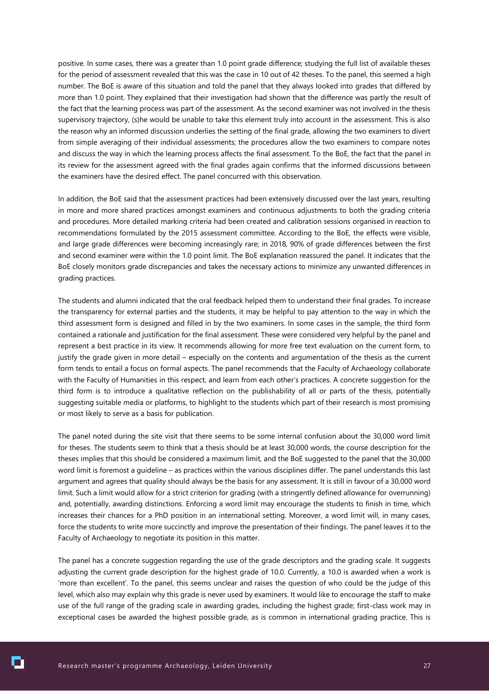positive. In some cases, there was a greater than 1.0 point grade difference; studying the full list of available theses for the period of assessment revealed that this was the case in 10 out of 42 theses. To the panel, this seemed a high number. The BoE is aware of this situation and told the panel that they always looked into grades that differed by more than 1.0 point. They explained that their investigation had shown that the difference was partly the result of the fact that the learning process was part of the assessment. As the second examiner was not involved in the thesis supervisory trajectory, (s)he would be unable to take this element truly into account in the assessment. This is also the reason why an informed discussion underlies the setting of the final grade, allowing the two examiners to divert from simple averaging of their individual assessments; the procedures allow the two examiners to compare notes and discuss the way in which the learning process affects the final assessment. To the BoE, the fact that the panel in its review for the assessment agreed with the final grades again confirms that the informed discussions between the examiners have the desired effect. The panel concurred with this observation.

In addition, the BoE said that the assessment practices had been extensively discussed over the last years, resulting in more and more shared practices amongst examiners and continuous adjustments to both the grading criteria and procedures. More detailed marking criteria had been created and calibration sessions organised in reaction to recommendations formulated by the 2015 assessment committee. According to the BoE, the effects were visible, and large grade differences were becoming increasingly rare; in 2018, 90% of grade differences between the first and second examiner were within the 1.0 point limit. The BoE explanation reassured the panel. It indicates that the BoE closely monitors grade discrepancies and takes the necessary actions to minimize any unwanted differences in grading practices.

The students and alumni indicated that the oral feedback helped them to understand their final grades. To increase the transparency for external parties and the students, it may be helpful to pay attention to the way in which the third assessment form is designed and filled in by the two examiners. In some cases in the sample, the third form contained a rationale and justification for the final assessment. These were considered very helpful by the panel and represent a best practice in its view. It recommends allowing for more free text evaluation on the current form, to justify the grade given in more detail – especially on the contents and argumentation of the thesis as the current form tends to entail a focus on formal aspects. The panel recommends that the Faculty of Archaeology collaborate with the Faculty of Humanities in this respect, and learn from each other's practices. A concrete suggestion for the third form is to introduce a qualitative reflection on the publishability of all or parts of the thesis, potentially suggesting suitable media or platforms, to highlight to the students which part of their research is most promising or most likely to serve as a basis for publication.

The panel noted during the site visit that there seems to be some internal confusion about the 30,000 word limit for theses. The students seem to think that a thesis should be at least 30,000 words, the course description for the theses implies that this should be considered a maximum limit, and the BoE suggested to the panel that the 30,000 word limit is foremost a guideline – as practices within the various disciplines differ. The panel understands this last argument and agrees that quality should always be the basis for any assessment. It is still in favour of a 30,000 word limit. Such a limit would allow for a strict criterion for grading (with a stringently defined allowance for overrunning) and, potentially, awarding distinctions. Enforcing a word limit may encourage the students to finish in time, which increases their chances for a PhD position in an international setting. Moreover, a word limit will, in many cases, force the students to write more succinctly and improve the presentation of their findings. The panel leaves it to the Faculty of Archaeology to negotiate its position in this matter.

The panel has a concrete suggestion regarding the use of the grade descriptors and the grading scale. It suggests adjusting the current grade description for the highest grade of 10.0. Currently, a 10.0 is awarded when a work is 'more than excellent'. To the panel, this seems unclear and raises the question of who could be the judge of this level, which also may explain why this grade is never used by examiners. It would like to encourage the staff to make use of the full range of the grading scale in awarding grades, including the highest grade; first-class work may in exceptional cases be awarded the highest possible grade, as is common in international grading practice. This is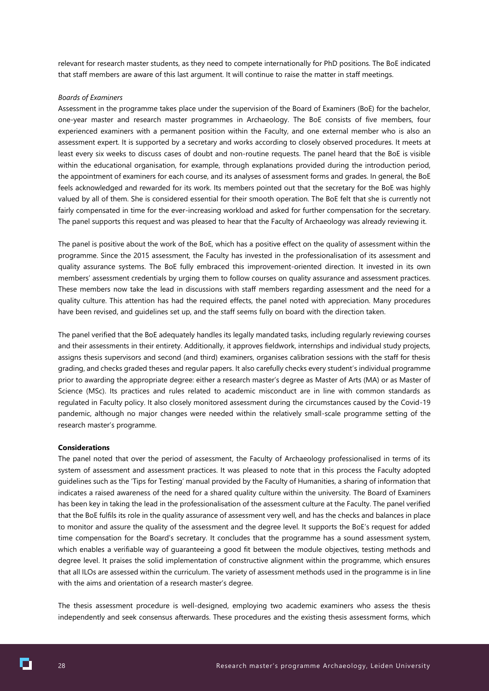relevant for research master students, as they need to compete internationally for PhD positions. The BoE indicated that staff members are aware of this last argument. It will continue to raise the matter in staff meetings.

#### *Boards of Examiners*

Assessment in the programme takes place under the supervision of the Board of Examiners (BoE) for the bachelor, one-year master and research master programmes in Archaeology. The BoE consists of five members, four experienced examiners with a permanent position within the Faculty, and one external member who is also an assessment expert. It is supported by a secretary and works according to closely observed procedures. It meets at least every six weeks to discuss cases of doubt and non-routine requests. The panel heard that the BoE is visible within the educational organisation, for example, through explanations provided during the introduction period, the appointment of examiners for each course, and its analyses of assessment forms and grades. In general, the BoE feels acknowledged and rewarded for its work. Its members pointed out that the secretary for the BoE was highly valued by all of them. She is considered essential for their smooth operation. The BoE felt that she is currently not fairly compensated in time for the ever-increasing workload and asked for further compensation for the secretary. The panel supports this request and was pleased to hear that the Faculty of Archaeology was already reviewing it.

The panel is positive about the work of the BoE, which has a positive effect on the quality of assessment within the programme. Since the 2015 assessment, the Faculty has invested in the professionalisation of its assessment and quality assurance systems. The BoE fully embraced this improvement-oriented direction. It invested in its own members' assessment credentials by urging them to follow courses on quality assurance and assessment practices. These members now take the lead in discussions with staff members regarding assessment and the need for a quality culture. This attention has had the required effects, the panel noted with appreciation. Many procedures have been revised, and guidelines set up, and the staff seems fully on board with the direction taken.

The panel verified that the BoE adequately handles its legally mandated tasks, including regularly reviewing courses and their assessments in their entirety. Additionally, it approves fieldwork, internships and individual study projects, assigns thesis supervisors and second (and third) examiners, organises calibration sessions with the staff for thesis grading, and checks graded theses and regular papers. It also carefully checks every student's individual programme prior to awarding the appropriate degree: either a research master's degree as Master of Arts (MA) or as Master of Science (MSc). Its practices and rules related to academic misconduct are in line with common standards as regulated in Faculty policy. It also closely monitored assessment during the circumstances caused by the Covid-19 pandemic, although no major changes were needed within the relatively small-scale programme setting of the research master's programme.

#### **Considerations**

The panel noted that over the period of assessment, the Faculty of Archaeology professionalised in terms of its system of assessment and assessment practices. It was pleased to note that in this process the Faculty adopted guidelines such as the 'Tips for Testing' manual provided by the Faculty of Humanities, a sharing of information that indicates a raised awareness of the need for a shared quality culture within the university. The Board of Examiners has been key in taking the lead in the professionalisation of the assessment culture at the Faculty. The panel verified that the BoE fulfils its role in the quality assurance of assessment very well, and has the checks and balances in place to monitor and assure the quality of the assessment and the degree level. It supports the BoE's request for added time compensation for the Board's secretary. It concludes that the programme has a sound assessment system, which enables a verifiable way of guaranteeing a good fit between the module objectives, testing methods and degree level. It praises the solid implementation of constructive alignment within the programme, which ensures that all ILOs are assessed within the curriculum. The variety of assessment methods used in the programme is in line with the aims and orientation of a research master's degree.

The thesis assessment procedure is well-designed, employing two academic examiners who assess the thesis independently and seek consensus afterwards. These procedures and the existing thesis assessment forms, which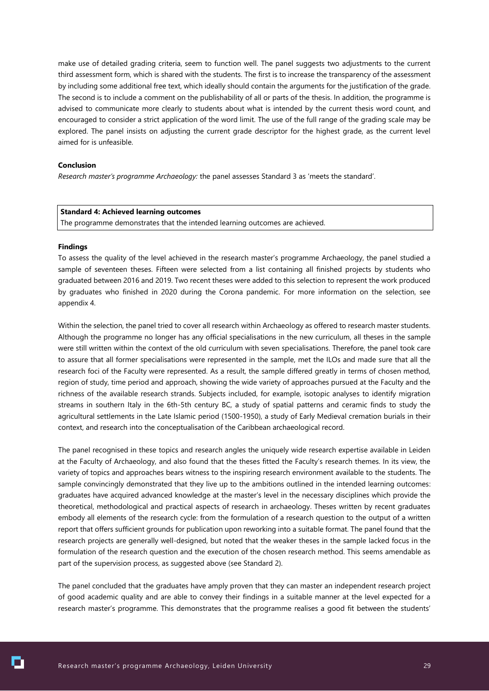make use of detailed grading criteria, seem to function well. The panel suggests two adjustments to the current third assessment form, which is shared with the students. The first is to increase the transparency of the assessment by including some additional free text, which ideally should contain the arguments for the justification of the grade. The second is to include a comment on the publishability of all or parts of the thesis. In addition, the programme is advised to communicate more clearly to students about what is intended by the current thesis word count, and encouraged to consider a strict application of the word limit. The use of the full range of the grading scale may be explored. The panel insists on adjusting the current grade descriptor for the highest grade, as the current level aimed for is unfeasible.

#### **Conclusion**

*Research master's programme Archaeology:* the panel assesses Standard 3 as 'meets the standard'.

## **Standard 4: Achieved learning outcomes**

The programme demonstrates that the intended learning outcomes are achieved.

#### **Findings**

To assess the quality of the level achieved in the research master's programme Archaeology, the panel studied a sample of seventeen theses. Fifteen were selected from a list containing all finished projects by students who graduated between 2016 and 2019. Two recent theses were added to this selection to represent the work produced by graduates who finished in 2020 during the Corona pandemic. For more information on the selection, see appendix 4.

Within the selection, the panel tried to cover all research within Archaeology as offered to research master students. Although the programme no longer has any official specialisations in the new curriculum, all theses in the sample were still written within the context of the old curriculum with seven specialisations. Therefore, the panel took care to assure that all former specialisations were represented in the sample, met the ILOs and made sure that all the research foci of the Faculty were represented. As a result, the sample differed greatly in terms of chosen method, region of study, time period and approach, showing the wide variety of approaches pursued at the Faculty and the richness of the available research strands. Subjects included, for example, isotopic analyses to identify migration streams in southern Italy in the 6th-5th century BC, a study of spatial patterns and ceramic finds to study the agricultural settlements in the Late Islamic period (1500-1950), a study of Early Medieval cremation burials in their context, and research into the conceptualisation of the Caribbean archaeological record.

The panel recognised in these topics and research angles the uniquely wide research expertise available in Leiden at the Faculty of Archaeology, and also found that the theses fitted the Faculty's research themes. In its view, the variety of topics and approaches bears witness to the inspiring research environment available to the students. The sample convincingly demonstrated that they live up to the ambitions outlined in the intended learning outcomes: graduates have acquired advanced knowledge at the master's level in the necessary disciplines which provide the theoretical, methodological and practical aspects of research in archaeology. Theses written by recent graduates embody all elements of the research cycle: from the formulation of a research question to the output of a written report that offers sufficient grounds for publication upon reworking into a suitable format. The panel found that the research projects are generally well-designed, but noted that the weaker theses in the sample lacked focus in the formulation of the research question and the execution of the chosen research method. This seems amendable as part of the supervision process, as suggested above (see Standard 2).

The panel concluded that the graduates have amply proven that they can master an independent research project of good academic quality and are able to convey their findings in a suitable manner at the level expected for a research master's programme. This demonstrates that the programme realises a good fit between the students'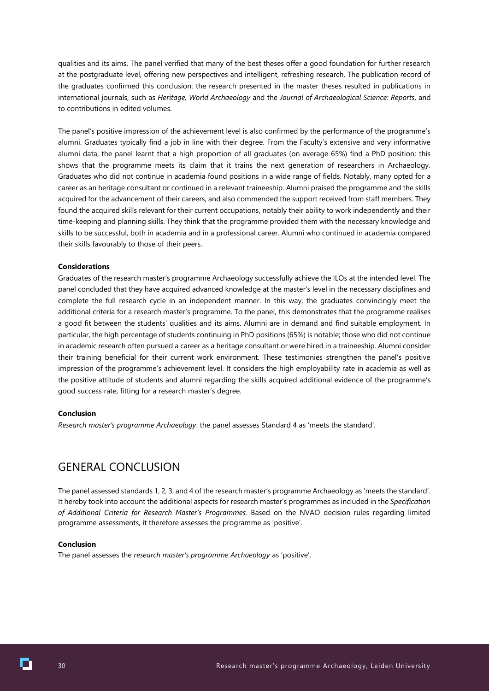qualities and its aims. The panel verified that many of the best theses offer a good foundation for further research at the postgraduate level, offering new perspectives and intelligent, refreshing research. The publication record of the graduates confirmed this conclusion: the research presented in the master theses resulted in publications in international journals, such as *Heritage, World Archaeology* and the *Journal of Archaeological Science: Reports*, and to contributions in edited volumes.

The panel's positive impression of the achievement level is also confirmed by the performance of the programme's alumni. Graduates typically find a job in line with their degree. From the Faculty's extensive and very informative alumni data, the panel learnt that a high proportion of all graduates (on average 65%) find a PhD position; this shows that the programme meets its claim that it trains the next generation of researchers in Archaeology. Graduates who did not continue in academia found positions in a wide range of fields. Notably, many opted for a career as an heritage consultant or continued in a relevant traineeship. Alumni praised the programme and the skills acquired for the advancement of their careers, and also commended the support received from staff members. They found the acquired skills relevant for their current occupations, notably their ability to work independently and their time-keeping and planning skills. They think that the programme provided them with the necessary knowledge and skills to be successful, both in academia and in a professional career. Alumni who continued in academia compared their skills favourably to those of their peers.

#### **Considerations**

Graduates of the research master's programme Archaeology successfully achieve the ILOs at the intended level. The panel concluded that they have acquired advanced knowledge at the master's level in the necessary disciplines and complete the full research cycle in an independent manner. In this way, the graduates convincingly meet the additional criteria for a research master's programme. To the panel, this demonstrates that the programme realises a good fit between the students' qualities and its aims. Alumni are in demand and find suitable employment. In particular, the high percentage of students continuing in PhD positions (65%) is notable; those who did not continue in academic research often pursued a career as a heritage consultant or were hired in a traineeship. Alumni consider their training beneficial for their current work environment. These testimonies strengthen the panel's positive impression of the programme's achievement level. It considers the high employability rate in academia as well as the positive attitude of students and alumni regarding the skills acquired additional evidence of the programme's good success rate, fitting for a research master's degree.

#### **Conclusion**

*Research master's programme Archaeology*: the panel assesses Standard 4 as 'meets the standard'.

## <span id="page-29-0"></span>GENERAL CONCLUSION

The panel assessed standards 1, 2, 3, and 4 of the research master's programme Archaeology as 'meets the standard'. It hereby took into account the additional aspects for research master's programmes as included in the *Specification of Additional Criteria for Research Master's Programmes*. Based on the NVAO decision rules regarding limited programme assessments, it therefore assesses the programme as 'positive'.

### **Conclusion**

The panel assesses the *research master's programme Archaeology* as 'positive'.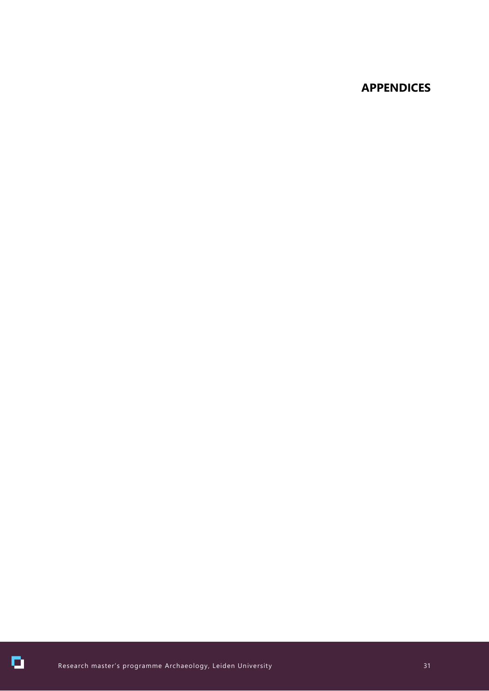# <span id="page-30-0"></span>**APPENDICES**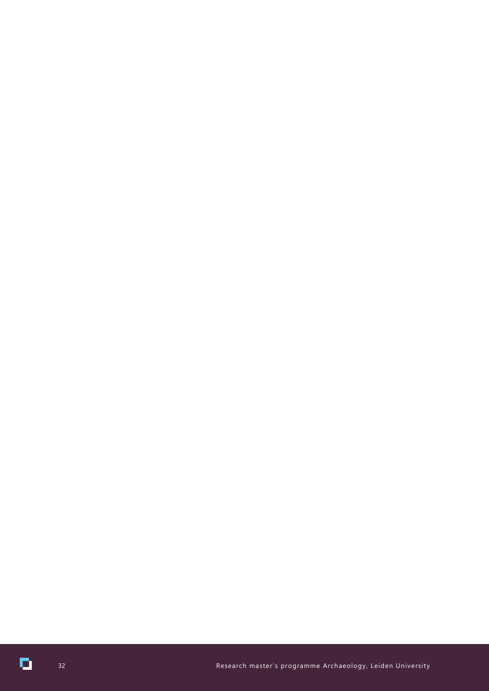<span id="page-31-0"></span>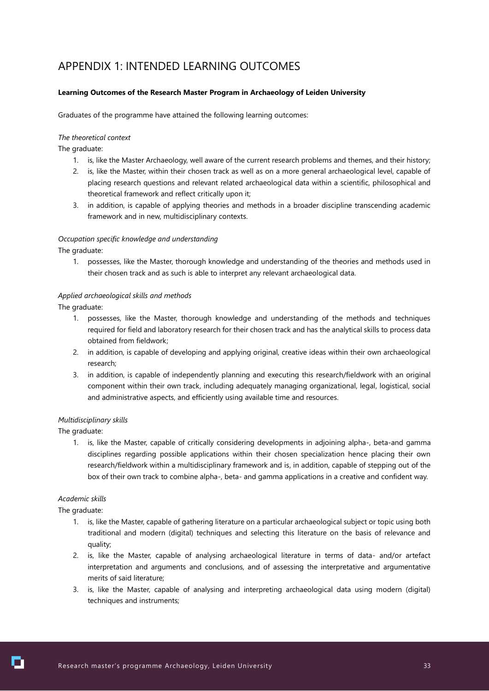# APPENDIX 1: INTENDED LEARNING OUTCOMES

#### **Learning Outcomes of the Research Master Program in Archaeology of Leiden University**

Graduates of the programme have attained the following learning outcomes:

#### *The theoretical context*

The graduate:

- 1. is, like the Master Archaeology, well aware of the current research problems and themes, and their history;
- 2. is, like the Master, within their chosen track as well as on a more general archaeological level, capable of placing research questions and relevant related archaeological data within a scientific, philosophical and theoretical framework and reflect critically upon it;
- 3. in addition, is capable of applying theories and methods in a broader discipline transcending academic framework and in new, multidisciplinary contexts.

#### *Occupation specific knowledge and understanding*

The graduate:

1. possesses, like the Master, thorough knowledge and understanding of the theories and methods used in their chosen track and as such is able to interpret any relevant archaeological data.

#### *Applied archaeological skills and methods*

The graduate:

- 1. possesses, like the Master, thorough knowledge and understanding of the methods and techniques required for field and laboratory research for their chosen track and has the analytical skills to process data obtained from fieldwork;
- 2. in addition, is capable of developing and applying original, creative ideas within their own archaeological research;
- 3. in addition, is capable of independently planning and executing this research/fieldwork with an original component within their own track, including adequately managing organizational, legal, logistical, social and administrative aspects, and efficiently using available time and resources.

#### *Multidisciplinary skills*

The graduate:

1. is, like the Master, capable of critically considering developments in adjoining alpha-, beta-and gamma disciplines regarding possible applications within their chosen specialization hence placing their own research/fieldwork within a multidisciplinary framework and is, in addition, capable of stepping out of the box of their own track to combine alpha-, beta- and gamma applications in a creative and confident way.

#### *Academic skills*

The graduate:

- 1. is, like the Master, capable of gathering literature on a particular archaeological subject or topic using both traditional and modern (digital) techniques and selecting this literature on the basis of relevance and quality;
- 2. is, like the Master, capable of analysing archaeological literature in terms of data- and/or artefact interpretation and arguments and conclusions, and of assessing the interpretative and argumentative merits of said literature;
- 3. is, like the Master, capable of analysing and interpreting archaeological data using modern (digital) techniques and instruments;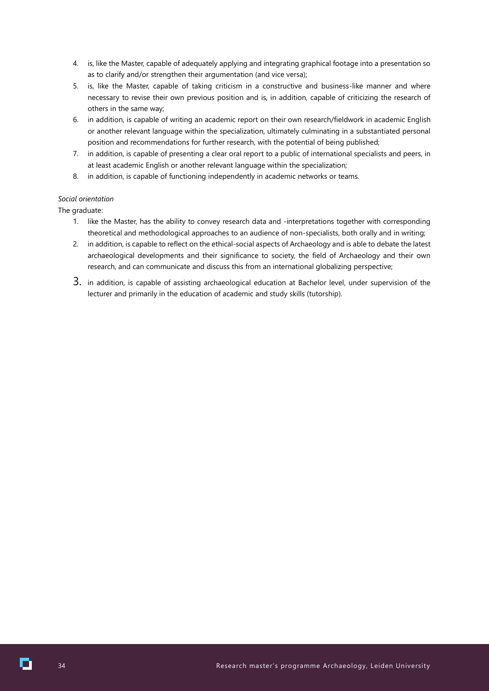- 4. is, like the Master, capable of adequately applying and integrating graphical footage into a presentation so as to clarify and/or strengthen their argumentation (and vice versa);
- 5. is, like the Master, capable of taking criticism in a constructive and business-like manner and where necessary to revise their own previous position and is, in addition, capable of criticizing the research of others in the same way;
- 6. in addition, is capable of writing an academic report on their own research/fieldwork in academic English or another relevant language within the specialization, ultimately culminating in a substantiated personal position and recommendations for further research, with the potential of being published;
- 7. in addition, is capable of presenting a clear oral report to a public of international specialists and peers, in at least academic English or another relevant language within the specialization;
- 8. in addition, is capable of functioning independently in academic networks or teams.

## *Social orientation*

The graduate:

- 1. like the Master, has the ability to convey research data and -interpretations together with corresponding theoretical and methodological approaches to an audience of non-specialists, both orally and in writing;
- 2. in addition, is capable to reflect on the ethical-social aspects of Archaeology and is able to debate the latest archaeological developments and their significance to society, the field of Archaeology and their own research, and can communicate and discuss this from an international globalizing perspective;
- 3. in addition, is capable of assisting archaeological education at Bachelor level, under supervision of the lecturer and primarily in the education of academic and study skills (tutorship).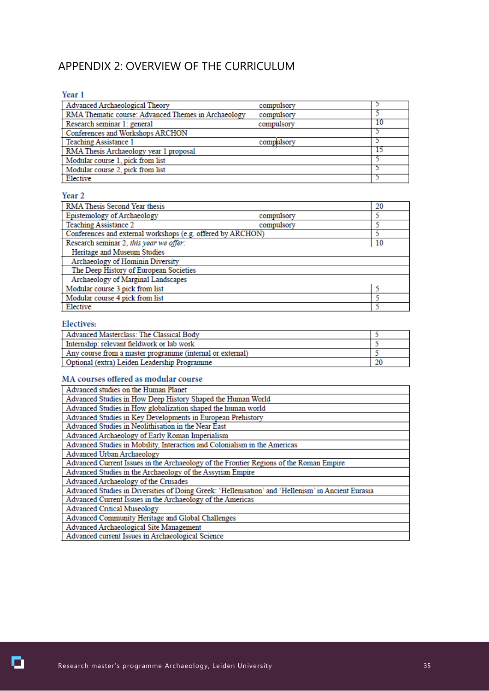# <span id="page-34-0"></span>APPENDIX 2: OVERVIEW OF THE CURRICULUM

## Year 1

| Advanced Archaeological Theory                      | compulsory |    |
|-----------------------------------------------------|------------|----|
| RMA Thematic course: Advanced Themes in Archaeology | compulsory |    |
| Research seminar 1: general                         | compulsory | 10 |
| Conferences and Workshops ARCHON                    |            |    |
| <b>Teaching Assistance 1</b>                        | compulsory |    |
| RMA Thesis Archaeology year 1 proposal              |            |    |
| Modular course 1, pick from list                    |            |    |
| Modular course 2, pick from list                    |            |    |
| Elective                                            |            |    |

## Year 2

| RMA Thesis Second Year thesis                               |            | 20 |
|-------------------------------------------------------------|------------|----|
| Epistemology of Archaeology                                 | compulsory |    |
| <b>Teaching Assistance 2</b>                                | compulsory |    |
| Conferences and external workshops (e.g. offered by ARCHON) |            |    |
| Research seminar 2, this year we offer:                     |            | 10 |
| Heritage and Museum Studies                                 |            |    |
| Archaeology of Hominin Diversity                            |            |    |
| The Deep History of European Societies                      |            |    |
| Archaeology of Marginal Landscapes                          |            |    |
| Modular course 3 pick from list                             |            | 5  |
| Modular course 4 pick from list                             |            |    |
| Elective                                                    |            |    |

## **Electives:**

D

| Advanced Masterclass: The Classical Body                  |    |
|-----------------------------------------------------------|----|
| Internship: relevant fieldwork or lab work                |    |
| Any course from a master programme (internal or external) |    |
| Optional (extra) Leiden Leadership Programme              | 20 |

## MA courses offered as modular course

| Advanced studies on the Human Planet                                                               |
|----------------------------------------------------------------------------------------------------|
| Advanced Studies in How Deep History Shaped the Human World                                        |
| Advanced Studies in How globalization shaped the human world                                       |
| Advanced Studies in Key Developments in European Prehistory                                        |
| Advanced Studies in Neolithisation in the Near East                                                |
| Advanced Archaeology of Early Roman Imperialism                                                    |
| Advanced Studies in Mobility, Interaction and Colonialism in the Americas                          |
| Advanced Urban Archaeology                                                                         |
| Advanced Current Issues in the Archaeology of the Frontier Regions of the Roman Empire             |
| Advanced Studies in the Archaeology of the Assyrian Empire                                         |
| Advanced Archaeology of the Crusades                                                               |
| Advanced Studies in Diversities of Doing Greek: 'Hellenisation' and 'Hellenism' in Ancient Eurasia |
| Advanced Current Issues in the Archaeology of the Americas                                         |
| <b>Advanced Critical Museology</b>                                                                 |
| Advanced Community Heritage and Global Challenges                                                  |
| Advanced Archaeological Site Management                                                            |
| Advanced current Issues in Archaeological Science                                                  |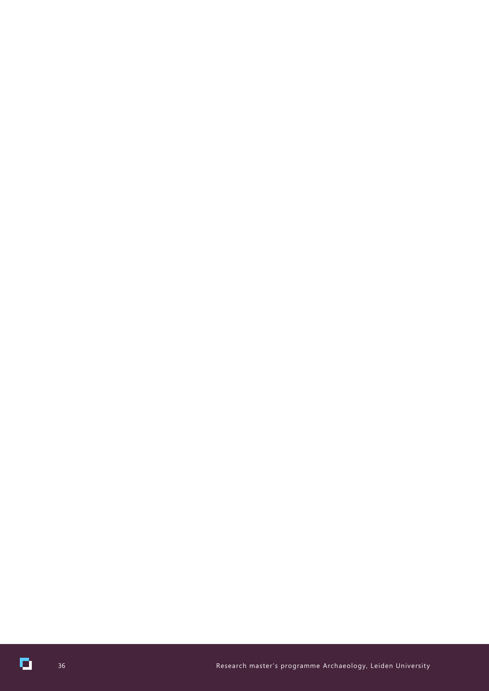<span id="page-35-0"></span>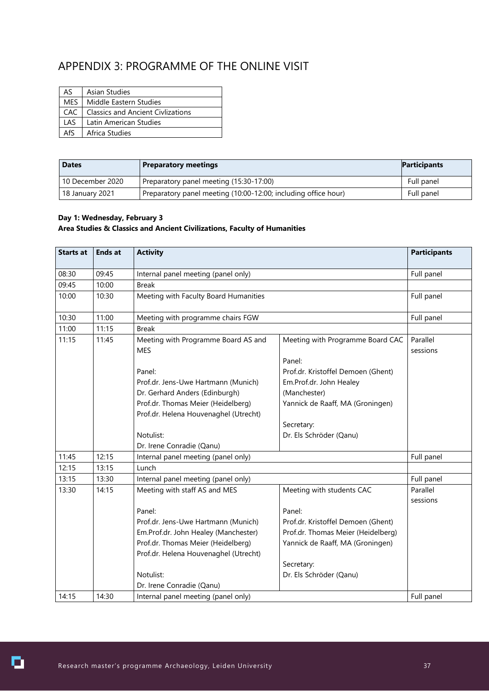# APPENDIX 3: PROGRAMME OF THE ONLINE VISIT

| AS.        | Asian Studies                            |
|------------|------------------------------------------|
| <b>MES</b> | Middle Eastern Studies                   |
| CAC        | <b>Classics and Ancient Civlizations</b> |
| <b>LAS</b> | Latin American Studies                   |
| AfS        | Africa Studies                           |

| <b>Dates</b>     | <b>Preparatory meetings</b>                                    | <b>Participants</b> |
|------------------|----------------------------------------------------------------|---------------------|
| 10 December 2020 | Preparatory panel meeting (15:30-17:00)                        | Full panel          |
| 18 January 2021  | Preparatory panel meeting (10:00-12:00; including office hour) | Full panel          |

## **Day 1: Wednesday, February 3**

## **Area Studies & Classics and Ancient Civilizations, Faculty of Humanities**

| <b>Starts at</b> | <b>Ends at</b> | <b>Activity</b>                                                                                                                                                                                                                                               |                                                                                                                                                                                                          | <b>Participants</b>  |
|------------------|----------------|---------------------------------------------------------------------------------------------------------------------------------------------------------------------------------------------------------------------------------------------------------------|----------------------------------------------------------------------------------------------------------------------------------------------------------------------------------------------------------|----------------------|
| 08:30            | 09:45          | Internal panel meeting (panel only)                                                                                                                                                                                                                           |                                                                                                                                                                                                          | Full panel           |
| 09:45            | 10:00          | <b>Break</b>                                                                                                                                                                                                                                                  |                                                                                                                                                                                                          |                      |
| 10:00            | 10:30          | Meeting with Faculty Board Humanities                                                                                                                                                                                                                         |                                                                                                                                                                                                          | Full panel           |
| 10:30            | 11:00          | Meeting with programme chairs FGW                                                                                                                                                                                                                             |                                                                                                                                                                                                          | Full panel           |
| 11:00            | 11:15          | <b>Break</b>                                                                                                                                                                                                                                                  |                                                                                                                                                                                                          |                      |
| 11:15            | 11:45          | Meeting with Programme Board AS and<br><b>MES</b><br>Panel:<br>Prof.dr. Jens-Uwe Hartmann (Munich)<br>Dr. Gerhard Anders (Edinburgh)<br>Prof.dr. Thomas Meier (Heidelberg)<br>Prof.dr. Helena Houvenaghel (Utrecht)<br>Notulist:<br>Dr. Irene Conradie (Qanu) | Meeting with Programme Board CAC<br>Panel:<br>Prof.dr. Kristoffel Demoen (Ghent)<br>Em.Prof.dr. John Healey<br>(Manchester)<br>Yannick de Raaff, MA (Groningen)<br>Secretary:<br>Dr. Els Schröder (Qanu) | Parallel<br>sessions |
| 11:45            | 12:15          | Internal panel meeting (panel only)                                                                                                                                                                                                                           |                                                                                                                                                                                                          | Full panel           |
| 12:15            | 13:15          | Lunch                                                                                                                                                                                                                                                         |                                                                                                                                                                                                          |                      |
| 13:15            | 13:30          | Internal panel meeting (panel only)                                                                                                                                                                                                                           |                                                                                                                                                                                                          | Full panel           |
| 13:30            | 14:15          | Meeting with staff AS and MES<br>Panel:<br>Prof.dr. Jens-Uwe Hartmann (Munich)<br>Em.Prof.dr. John Healey (Manchester)<br>Prof.dr. Thomas Meier (Heidelberg)<br>Prof.dr. Helena Houvenaghel (Utrecht)<br>Notulist:<br>Dr. Irene Conradie (Qanu)               | Meeting with students CAC<br>Panel:<br>Prof.dr. Kristoffel Demoen (Ghent)<br>Prof.dr. Thomas Meier (Heidelberg)<br>Yannick de Raaff, MA (Groningen)<br>Secretary:<br>Dr. Els Schröder (Qanu)             | Parallel<br>sessions |
| 14:15            | 14:30          | Internal panel meeting (panel only)                                                                                                                                                                                                                           |                                                                                                                                                                                                          |                      |

D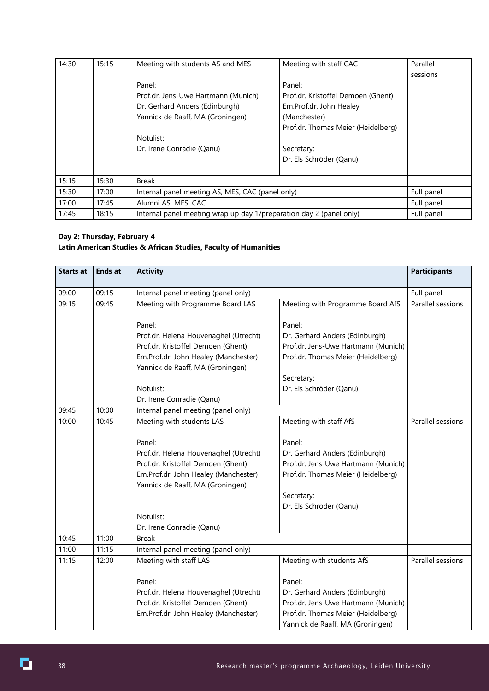| 14:30 | 15:15 | Meeting with students AS and MES                                    | Meeting with staff CAC             | Parallel   |
|-------|-------|---------------------------------------------------------------------|------------------------------------|------------|
|       |       |                                                                     |                                    | sessions   |
|       |       | Panel:                                                              | Panel:                             |            |
|       |       | Prof.dr. Jens-Uwe Hartmann (Munich)                                 | Prof.dr. Kristoffel Demoen (Ghent) |            |
|       |       | Dr. Gerhard Anders (Edinburgh)                                      | Em.Prof.dr. John Healey            |            |
|       |       | Yannick de Raaff, MA (Groningen)                                    | (Manchester)                       |            |
|       |       |                                                                     | Prof.dr. Thomas Meier (Heidelberg) |            |
|       |       | Notulist:                                                           |                                    |            |
|       |       | Dr. Irene Conradie (Qanu)                                           | Secretary:                         |            |
|       |       |                                                                     | Dr. Els Schröder (Qanu)            |            |
|       |       |                                                                     |                                    |            |
| 15:15 | 15:30 | <b>Break</b>                                                        |                                    |            |
| 15:30 | 17:00 | Internal panel meeting AS, MES, CAC (panel only)                    |                                    | Full panel |
| 17:00 | 17:45 | Alumni AS, MES, CAC                                                 |                                    | Full panel |
| 17:45 | 18:15 | Internal panel meeting wrap up day 1/preparation day 2 (panel only) |                                    | Full panel |

## **Day 2: Thursday, February 4 Latin American Studies & African Studies, Faculty of Humanities**

| <b>Starts at</b> | <b>Ends at</b> | <b>Activity</b>                       |                                     | <b>Participants</b> |
|------------------|----------------|---------------------------------------|-------------------------------------|---------------------|
|                  |                |                                       |                                     |                     |
| 09:00            | 09:15          | Internal panel meeting (panel only)   |                                     | Full panel          |
| 09:15            | 09:45          | Meeting with Programme Board LAS      | Meeting with Programme Board AfS    | Parallel sessions   |
|                  |                |                                       |                                     |                     |
|                  |                | Panel:                                | Panel:                              |                     |
|                  |                | Prof.dr. Helena Houvenaghel (Utrecht) | Dr. Gerhard Anders (Edinburgh)      |                     |
|                  |                | Prof.dr. Kristoffel Demoen (Ghent)    | Prof.dr. Jens-Uwe Hartmann (Munich) |                     |
|                  |                | Em.Prof.dr. John Healey (Manchester)  | Prof.dr. Thomas Meier (Heidelberg)  |                     |
|                  |                | Yannick de Raaff, MA (Groningen)      |                                     |                     |
|                  |                |                                       | Secretary:                          |                     |
|                  |                | Notulist:                             | Dr. Els Schröder (Qanu)             |                     |
|                  |                | Dr. Irene Conradie (Qanu)             |                                     |                     |
| 09:45            | 10:00          | Internal panel meeting (panel only)   |                                     |                     |
| 10:00            | 10:45          | Meeting with students LAS             | Meeting with staff AfS              | Parallel sessions   |
|                  |                |                                       |                                     |                     |
|                  |                | Panel:                                | Panel:                              |                     |
|                  |                | Prof.dr. Helena Houvenaghel (Utrecht) | Dr. Gerhard Anders (Edinburgh)      |                     |
|                  |                | Prof.dr. Kristoffel Demoen (Ghent)    | Prof.dr. Jens-Uwe Hartmann (Munich) |                     |
|                  |                | Em.Prof.dr. John Healey (Manchester)  | Prof.dr. Thomas Meier (Heidelberg)  |                     |
|                  |                | Yannick de Raaff, MA (Groningen)      |                                     |                     |
|                  |                |                                       | Secretary:                          |                     |
|                  |                |                                       | Dr. Els Schröder (Qanu)             |                     |
|                  |                | Notulist:                             |                                     |                     |
|                  |                | Dr. Irene Conradie (Qanu)             |                                     |                     |
| 10:45            | 11:00          | <b>Break</b>                          |                                     |                     |
| 11:00            | 11:15          | Internal panel meeting (panel only)   |                                     |                     |
| 11:15            | 12:00          | Meeting with staff LAS                | Meeting with students AfS           | Parallel sessions   |
|                  |                |                                       |                                     |                     |
|                  |                | Panel:                                | Panel:                              |                     |
|                  |                | Prof.dr. Helena Houvenaghel (Utrecht) | Dr. Gerhard Anders (Edinburgh)      |                     |
|                  |                | Prof.dr. Kristoffel Demoen (Ghent)    | Prof.dr. Jens-Uwe Hartmann (Munich) |                     |
|                  |                | Em.Prof.dr. John Healey (Manchester)  | Prof.dr. Thomas Meier (Heidelberg)  |                     |
|                  |                |                                       | Yannick de Raaff, MA (Groningen)    |                     |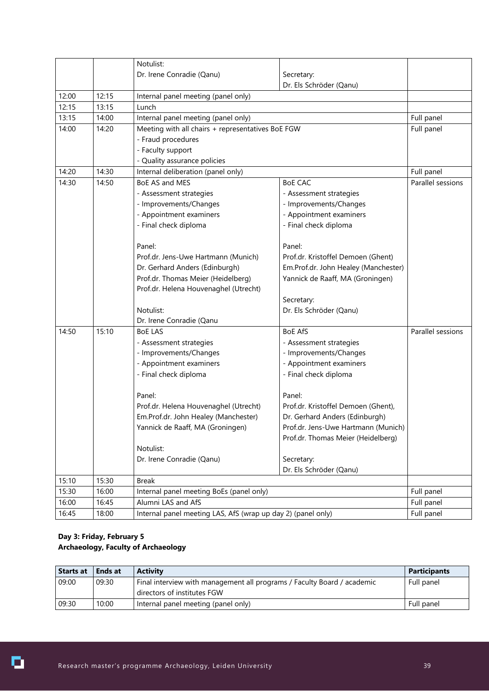|       |       | Notulist:                                                    |                                      |                   |
|-------|-------|--------------------------------------------------------------|--------------------------------------|-------------------|
|       |       | Dr. Irene Conradie (Qanu)                                    | Secretary:                           |                   |
|       |       |                                                              | Dr. Els Schröder (Qanu)              |                   |
| 12:00 | 12:15 | Internal panel meeting (panel only)                          |                                      |                   |
| 12:15 | 13:15 | Lunch                                                        |                                      |                   |
| 13:15 | 14:00 | Internal panel meeting (panel only)                          |                                      | Full panel        |
| 14:00 | 14:20 | Meeting with all chairs + representatives BoE FGW            |                                      | Full panel        |
|       |       | - Fraud procedures                                           |                                      |                   |
|       |       | - Faculty support                                            |                                      |                   |
|       |       | - Quality assurance policies                                 |                                      |                   |
| 14:20 | 14:30 | Internal deliberation (panel only)                           |                                      | Full panel        |
| 14:30 | 14:50 | <b>BoE AS and MES</b>                                        | <b>BoE CAC</b>                       | Parallel sessions |
|       |       | - Assessment strategies                                      | - Assessment strategies              |                   |
|       |       | - Improvements/Changes                                       | - Improvements/Changes               |                   |
|       |       | - Appointment examiners                                      | - Appointment examiners              |                   |
|       |       | - Final check diploma                                        | - Final check diploma                |                   |
|       |       |                                                              |                                      |                   |
|       |       | Panel:                                                       | Panel:                               |                   |
|       |       | Prof.dr. Jens-Uwe Hartmann (Munich)                          | Prof.dr. Kristoffel Demoen (Ghent)   |                   |
|       |       | Dr. Gerhard Anders (Edinburgh)                               | Em.Prof.dr. John Healey (Manchester) |                   |
|       |       | Prof.dr. Thomas Meier (Heidelberg)                           | Yannick de Raaff, MA (Groningen)     |                   |
|       |       | Prof.dr. Helena Houvenaghel (Utrecht)                        |                                      |                   |
|       |       |                                                              | Secretary:                           |                   |
|       |       | Notulist:                                                    | Dr. Els Schröder (Qanu)              |                   |
|       |       | Dr. Irene Conradie (Qanu                                     |                                      |                   |
| 14:50 | 15:10 | <b>BoE LAS</b>                                               | <b>BoE AfS</b>                       | Parallel sessions |
|       |       | - Assessment strategies                                      | - Assessment strategies              |                   |
|       |       | - Improvements/Changes                                       | - Improvements/Changes               |                   |
|       |       | - Appointment examiners                                      | - Appointment examiners              |                   |
|       |       | - Final check diploma                                        | - Final check diploma                |                   |
|       |       |                                                              |                                      |                   |
|       |       | Panel:                                                       | Panel:                               |                   |
|       |       | Prof.dr. Helena Houvenaghel (Utrecht)                        | Prof.dr. Kristoffel Demoen (Ghent),  |                   |
|       |       | Em.Prof.dr. John Healey (Manchester)                         | Dr. Gerhard Anders (Edinburgh)       |                   |
|       |       | Yannick de Raaff, MA (Groningen)                             | Prof.dr. Jens-Uwe Hartmann (Munich)  |                   |
|       |       | Notulist:                                                    | Prof.dr. Thomas Meier (Heidelberg)   |                   |
|       |       | Dr. Irene Conradie (Qanu)                                    | Secretary:                           |                   |
|       |       |                                                              | Dr. Els Schröder (Qanu)              |                   |
| 15:10 | 15:30 | <b>Break</b>                                                 |                                      |                   |
| 15:30 | 16:00 | Internal panel meeting BoEs (panel only)                     |                                      | Full panel        |
| 16:00 | 16:45 | Alumni LAS and AfS                                           |                                      | Full panel        |
| 16:45 | 18:00 | Internal panel meeting LAS, AfS (wrap up day 2) (panel only) |                                      | Full panel        |

## **Day 3: Friday, February 5 Archaeology, Faculty of Archaeology**

| <b>Starts at</b> | l Ends at | <b>Activity</b>                                                         | <b>Participants</b> |
|------------------|-----------|-------------------------------------------------------------------------|---------------------|
| 09:00            | 09:30     | Final interview with management all programs / Faculty Board / academic | Full panel          |
|                  |           | directors of institutes FGW                                             |                     |
| 09:30            | 10:00     | Internal panel meeting (panel only)                                     | Full panel          |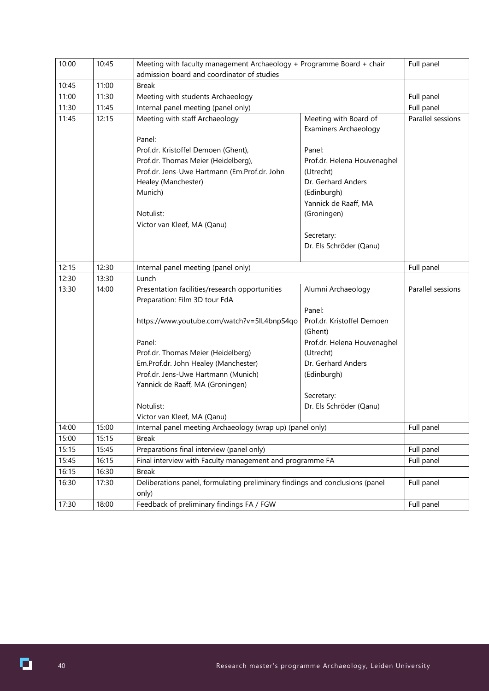| 10:00 | 10:45 | Meeting with faculty management Archaeology + Programme Board + chair        |                                                | Full panel        |
|-------|-------|------------------------------------------------------------------------------|------------------------------------------------|-------------------|
|       |       | admission board and coordinator of studies                                   |                                                |                   |
| 10:45 | 11:00 | <b>Break</b>                                                                 |                                                |                   |
| 11:00 | 11:30 | Meeting with students Archaeology                                            |                                                | Full panel        |
| 11:30 | 11:45 | Internal panel meeting (panel only)                                          |                                                | Full panel        |
| 11:45 | 12:15 | Meeting with staff Archaeology                                               | Meeting with Board of<br>Examiners Archaeology | Parallel sessions |
|       |       | Panel:                                                                       |                                                |                   |
|       |       | Prof.dr. Kristoffel Demoen (Ghent),                                          | Panel:                                         |                   |
|       |       | Prof.dr. Thomas Meier (Heidelberg),                                          | Prof.dr. Helena Houvenaghel                    |                   |
|       |       | Prof.dr. Jens-Uwe Hartmann (Em.Prof.dr. John                                 | (Utrecht)                                      |                   |
|       |       | Healey (Manchester)                                                          | Dr. Gerhard Anders                             |                   |
|       |       | Munich)                                                                      | (Edinburgh)                                    |                   |
|       |       |                                                                              | Yannick de Raaff, MA                           |                   |
|       |       | Notulist:                                                                    | (Groningen)                                    |                   |
|       |       | Victor van Kleef, MA (Qanu)                                                  |                                                |                   |
|       |       |                                                                              | Secretary:                                     |                   |
|       |       |                                                                              | Dr. Els Schröder (Qanu)                        |                   |
| 12:15 | 12:30 | Internal panel meeting (panel only)                                          |                                                | Full panel        |
| 12:30 | 13:30 | Lunch                                                                        |                                                |                   |
| 13:30 | 14:00 | Presentation facilities/research opportunities                               | Alumni Archaeology                             | Parallel sessions |
|       |       | Preparation: Film 3D tour FdA                                                |                                                |                   |
|       |       |                                                                              | Panel:                                         |                   |
|       |       | https://www.youtube.com/watch?v=5IL4bnpS4qo                                  | Prof.dr. Kristoffel Demoen                     |                   |
|       |       |                                                                              | (Ghent)                                        |                   |
|       |       | Panel:                                                                       | Prof.dr. Helena Houvenaghel                    |                   |
|       |       | Prof.dr. Thomas Meier (Heidelberg)                                           | (Utrecht)                                      |                   |
|       |       | Em.Prof.dr. John Healey (Manchester)                                         | Dr. Gerhard Anders                             |                   |
|       |       | Prof.dr. Jens-Uwe Hartmann (Munich)                                          | (Edinburgh)                                    |                   |
|       |       | Yannick de Raaff, MA (Groningen)                                             |                                                |                   |
|       |       |                                                                              | Secretary:                                     |                   |
|       |       | Notulist:                                                                    | Dr. Els Schröder (Qanu)                        |                   |
|       |       | Victor van Kleef, MA (Qanu)                                                  |                                                |                   |
| 14:00 | 15:00 | Internal panel meeting Archaeology (wrap up) (panel only)                    |                                                | Full panel        |
| 15:00 | 15:15 | <b>Break</b>                                                                 |                                                |                   |
| 15:15 | 15:45 | Preparations final interview (panel only)                                    |                                                | Full panel        |
| 15:45 | 16:15 | Final interview with Faculty management and programme FA                     |                                                | Full panel        |
| 16:15 | 16:30 | <b>Break</b>                                                                 |                                                |                   |
| 16:30 | 17:30 | Deliberations panel, formulating preliminary findings and conclusions (panel |                                                | Full panel        |
|       |       | only)                                                                        |                                                |                   |
| 17:30 | 18:00 | Feedback of preliminary findings FA / FGW                                    |                                                | Full panel        |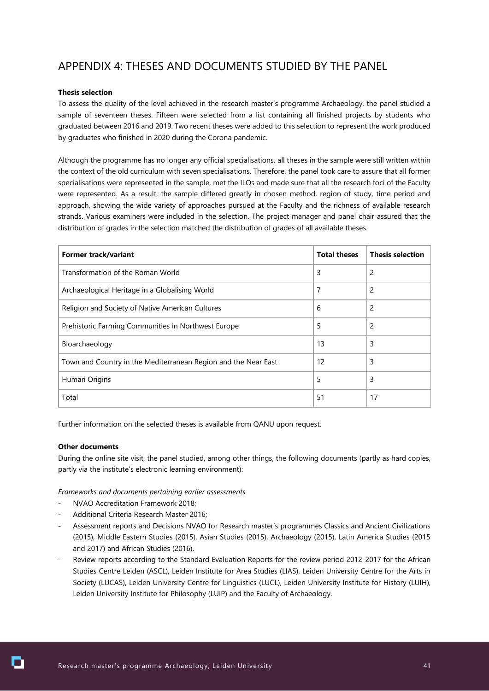# <span id="page-40-0"></span>APPENDIX 4: THESES AND DOCUMENTS STUDIED BY THE PANEL

#### **Thesis selection**

To assess the quality of the level achieved in the research master's programme Archaeology, the panel studied a sample of seventeen theses. Fifteen were selected from a list containing all finished projects by students who graduated between 2016 and 2019. Two recent theses were added to this selection to represent the work produced by graduates who finished in 2020 during the Corona pandemic.

Although the programme has no longer any official specialisations, all theses in the sample were still written within the context of the old curriculum with seven specialisations. Therefore, the panel took care to assure that all former specialisations were represented in the sample, met the ILOs and made sure that all the research foci of the Faculty were represented. As a result, the sample differed greatly in chosen method, region of study, time period and approach, showing the wide variety of approaches pursued at the Faculty and the richness of available research strands. Various examiners were included in the selection. The project manager and panel chair assured that the distribution of grades in the selection matched the distribution of grades of all available theses.

| Former track/variant                                           | <b>Total theses</b> | <b>Thesis selection</b> |
|----------------------------------------------------------------|---------------------|-------------------------|
| Transformation of the Roman World                              | 3                   | 2                       |
| Archaeological Heritage in a Globalising World                 | 7                   | 2                       |
| Religion and Society of Native American Cultures               | 6                   | 2                       |
| Prehistoric Farming Communities in Northwest Europe            | 5                   | 2                       |
| Bioarchaeology                                                 | 13                  | 3                       |
| Town and Country in the Mediterranean Region and the Near East | 12                  | 3                       |
| Human Origins                                                  | 5                   | 3                       |
| Total                                                          | 51                  | 17                      |

Further information on the selected theses is available from QANU upon request.

#### **Other documents**

During the online site visit, the panel studied, among other things, the following documents (partly as hard copies, partly via the institute's electronic learning environment):

*Frameworks and documents pertaining earlier assessments*

- NVAO Accreditation Framework 2018;
- Additional Criteria Research Master 2016;
- Assessment reports and Decisions NVAO for Research master's programmes Classics and Ancient Civilizations (2015), Middle Eastern Studies (2015), Asian Studies (2015), Archaeology (2015), Latin America Studies (2015 and 2017) and African Studies (2016).
- Review reports according to the Standard Evaluation Reports for the review period 2012-2017 for the African Studies Centre Leiden (ASCL), Leiden Institute for Area Studies (LIAS), Leiden University Centre for the Arts in Society (LUCAS), Leiden University Centre for Linguistics (LUCL), Leiden University Institute for History (LUIH), Leiden University Institute for Philosophy (LUIP) and the Faculty of Archaeology.